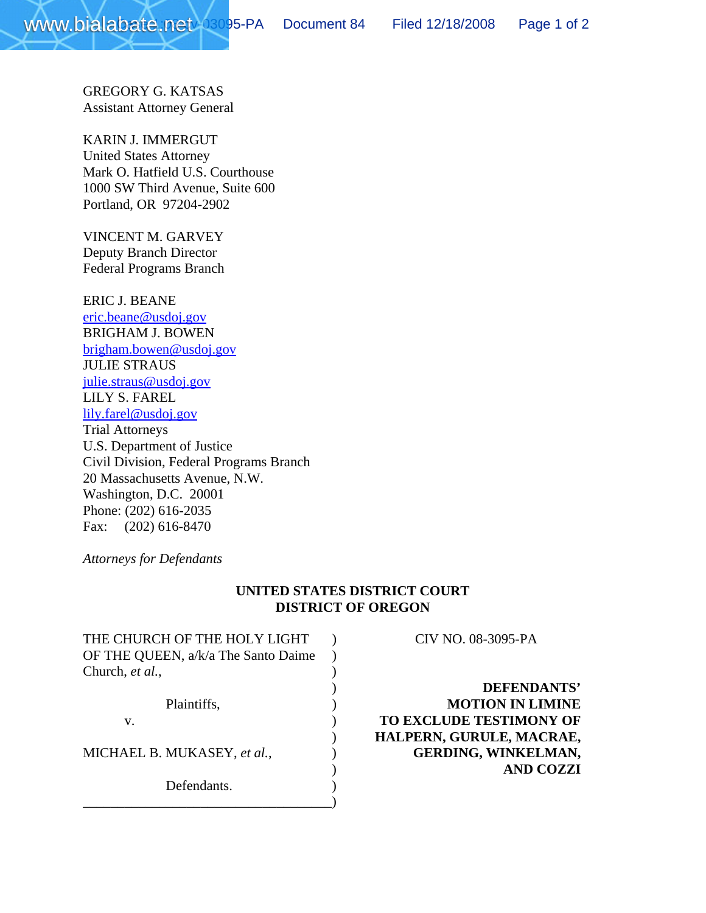GREGORY G. KATSAS Assistant Attorney General

www.biala bate.net

KARIN J. IMMERGUT United States Attorney Mark O. Hatfield U.S. Courthouse 1000 SW Third Avenue, Suite 600 Portland, OR 97204-2902

VINCENT M. GARVEY Deputy Branch Director Federal Programs Branch

ERIC J. BEANE eric.beane@usdoj.gov BRIGHAM J. BOWEN brigham.bowen@usdoj.gov JULIE STRAUS julie.straus@usdoj.gov LILY S. FAREL lily.farel@usdoj.gov Trial Attorneys U.S. Department of Justice Civil Division, Federal Programs Branch 20 Massachusetts Avenue, N.W. Washington, D.C. 20001 Phone: (202) 616-2035 Fax: (202) 616-8470

*Attorneys for Defendants*

### **UNITED STATES DISTRICT COURT DISTRICT OF OREGON**

| THE CHURCH OF THE HOLY LIGHT        |  |
|-------------------------------------|--|
| OF THE QUEEN, a/k/a The Santo Daime |  |
| Church, et al.,                     |  |
|                                     |  |
| Plaintiffs,                         |  |
| V.                                  |  |
|                                     |  |
| MICHAEL B. MUKASEY, et al.,         |  |
|                                     |  |
| Defendants.                         |  |
|                                     |  |

CIV NO. 08-3095-PA

) **DEFENDANTS' MOTION IN LIMINE TO EXCLUDE TESTIMONY OF** ) **HALPERN, GURULE, MACRAE,** MICHAEL B. MUKASEY, *et al.*, ) **GERDING, WINKELMAN,** ) **AND COZZI**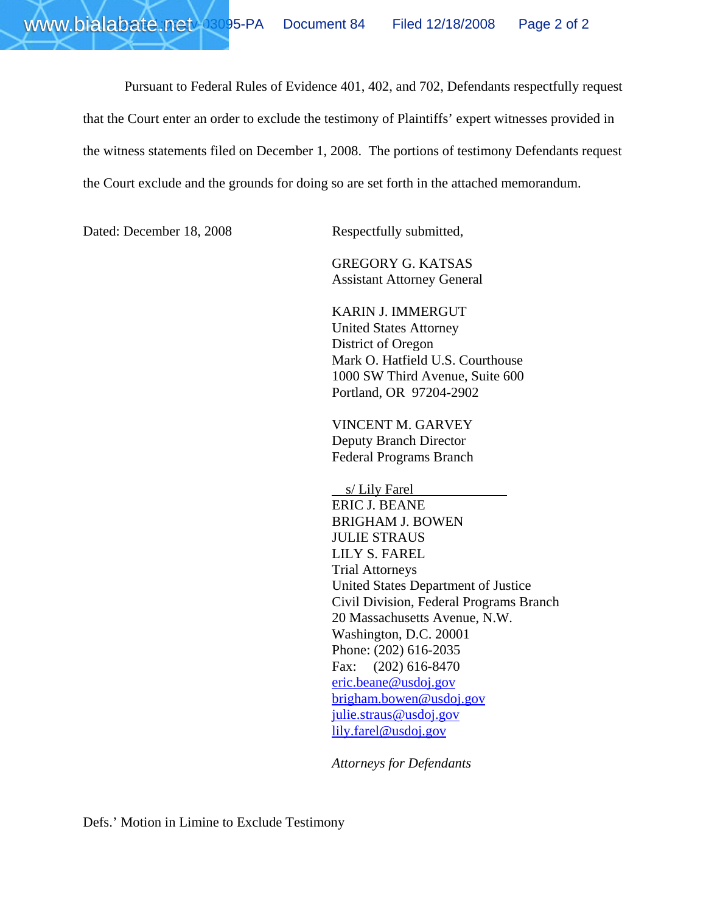Pursuant to Federal Rules of Evidence 401, 402, and 702, Defendants respectfully request that the Court enter an order to exclude the testimony of Plaintiffs' expert witnesses provided in the witness statements filed on December 1, 2008. The portions of testimony Defendants request the Court exclude and the grounds for doing so are set forth in the attached memorandum.

Dated: December 18, 2008 Respectfully submitted,

GREGORY G. KATSAS Assistant Attorney General

KARIN J. IMMERGUT United States Attorney District of Oregon Mark O. Hatfield U.S. Courthouse 1000 SW Third Avenue, Suite 600 Portland, OR 97204-2902

VINCENT M. GARVEY Deputy Branch Director Federal Programs Branch

 s/ Lily Farel ERIC J. BEANE BRIGHAM J. BOWEN JULIE STRAUS LILY S. FAREL Trial Attorneys United States Department of Justice Civil Division, Federal Programs Branch 20 Massachusetts Avenue, N.W. Washington, D.C. 20001 Phone: (202) 616-2035 Fax: (202) 616-8470 eric.beane@usdoj.gov brigham.bowen@usdoj.gov julie.straus@usdoj.gov lily.farel@usdoj.gov

*Attorneys for Defendants*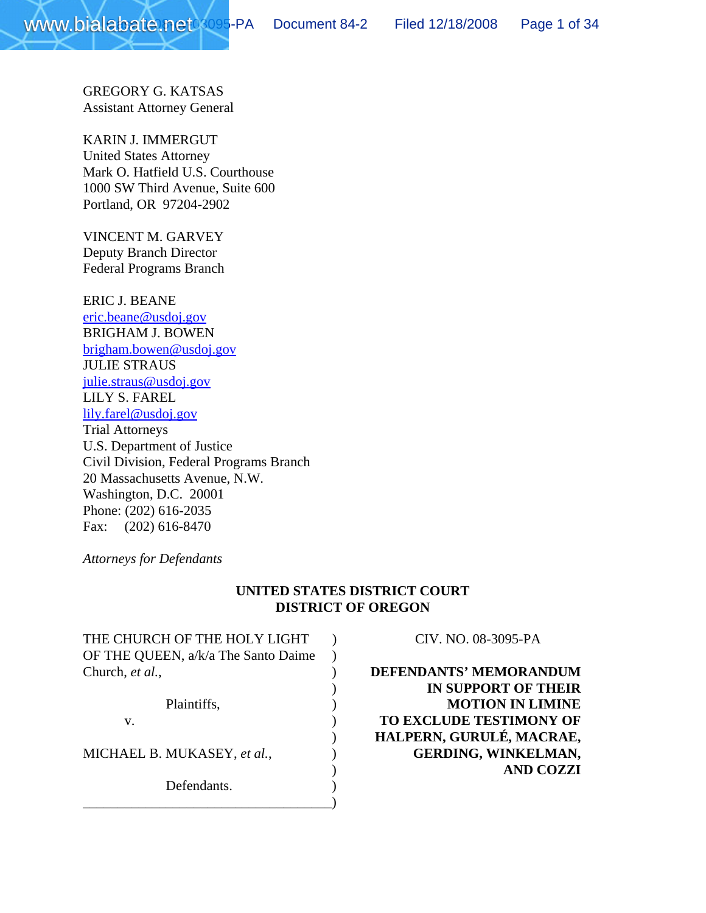

GREGORY G. KATSAS Assistant Attorney General

KARIN J. IMMERGUT United States Attorney Mark O. Hatfield U.S. Courthouse 1000 SW Third Avenue, Suite 600 Portland, OR 97204-2902

VINCENT M. GARVEY Deputy Branch Director Federal Programs Branch

ERIC J. BEANE eric.beane@usdoj.gov BRIGHAM J. BOWEN brigham.bowen@usdoj.gov JULIE STRAUS julie.straus@usdoj.gov LILY S. FAREL lily.farel@usdoj.gov Trial Attorneys U.S. Department of Justice Civil Division, Federal Programs Branch 20 Massachusetts Avenue, N.W. Washington, D.C. 20001 Phone: (202) 616-2035 Fax: (202) 616-8470

*Attorneys for Defendants*

### **UNITED STATES DISTRICT COURT DISTRICT OF OREGON**

THE CHURCH OF THE HOLY LIGHT ) CIV. NO. 08-3095-PA OF THE QUEEN, a/k/a The Santo Daime ) Church, *et al.*, **DEFENDANTS' MEMORANDUM** MICHAEL B. MUKASEY, *et al.*,  $\qquad \qquad$ ) **GERDING, WINKELMAN,** Defendants. \_\_\_\_\_\_\_\_\_\_\_\_\_\_\_\_\_\_\_\_\_\_\_\_\_\_\_\_\_\_\_\_\_\_\_\_)

) **IN SUPPORT OF THEIR** Plaintiffs,  $MOTION IN LIMITNE$ v. ) **TO EXCLUDE TESTIMONY OF** ) **HALPERN, GURULÉ, MACRAE,** ) **AND COZZI**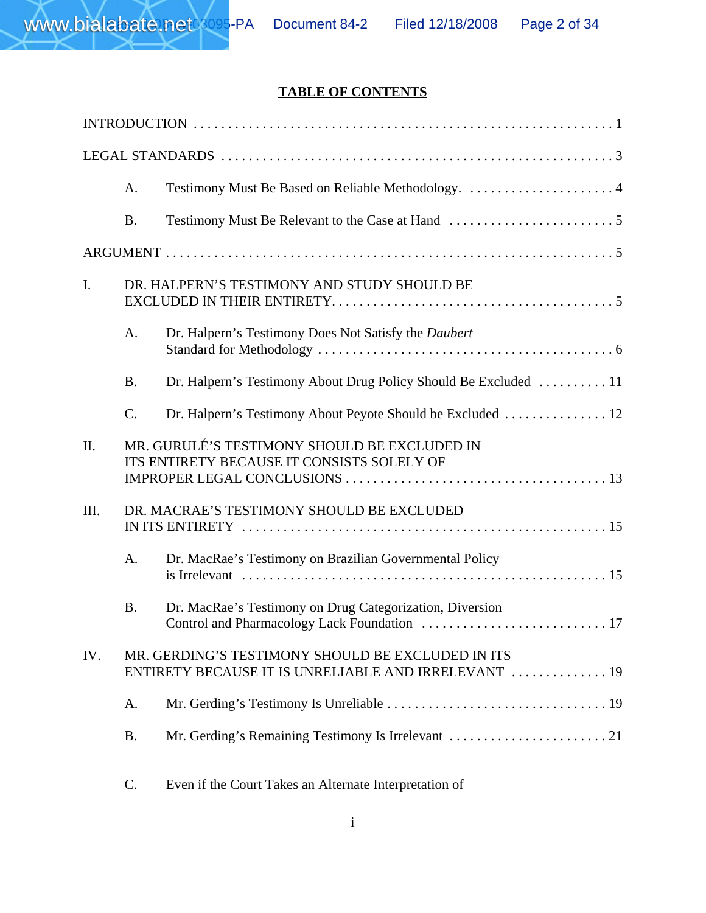# **TABLE OF CONTENTS**

|      | A.        | Testimony Must Be Based on Reliable Methodology.  4                                                       |  |
|------|-----------|-----------------------------------------------------------------------------------------------------------|--|
|      | <b>B.</b> |                                                                                                           |  |
|      |           |                                                                                                           |  |
| I.   |           | DR. HALPERN'S TESTIMONY AND STUDY SHOULD BE                                                               |  |
|      | A.        | Dr. Halpern's Testimony Does Not Satisfy the Daubert                                                      |  |
|      | <b>B.</b> | Dr. Halpern's Testimony About Drug Policy Should Be Excluded  11                                          |  |
|      | C.        | Dr. Halpern's Testimony About Peyote Should be Excluded  12                                               |  |
| II.  |           | MR. GURULÉ'S TESTIMONY SHOULD BE EXCLUDED IN<br>ITS ENTIRETY BECAUSE IT CONSISTS SOLELY OF                |  |
| III. |           | DR. MACRAE'S TESTIMONY SHOULD BE EXCLUDED                                                                 |  |
|      | A.        | Dr. MacRae's Testimony on Brazilian Governmental Policy                                                   |  |
|      | <b>B.</b> | Dr. MacRae's Testimony on Drug Categorization, Diversion                                                  |  |
| IV.  |           | MR. GERDING'S TESTIMONY SHOULD BE EXCLUDED IN ITS<br>ENTIRETY BECAUSE IT IS UNRELIABLE AND IRRELEVANT  19 |  |
|      | A.        |                                                                                                           |  |
|      | <b>B.</b> |                                                                                                           |  |
|      |           |                                                                                                           |  |

C. Even if the Court Takes an Alternate Interpretation of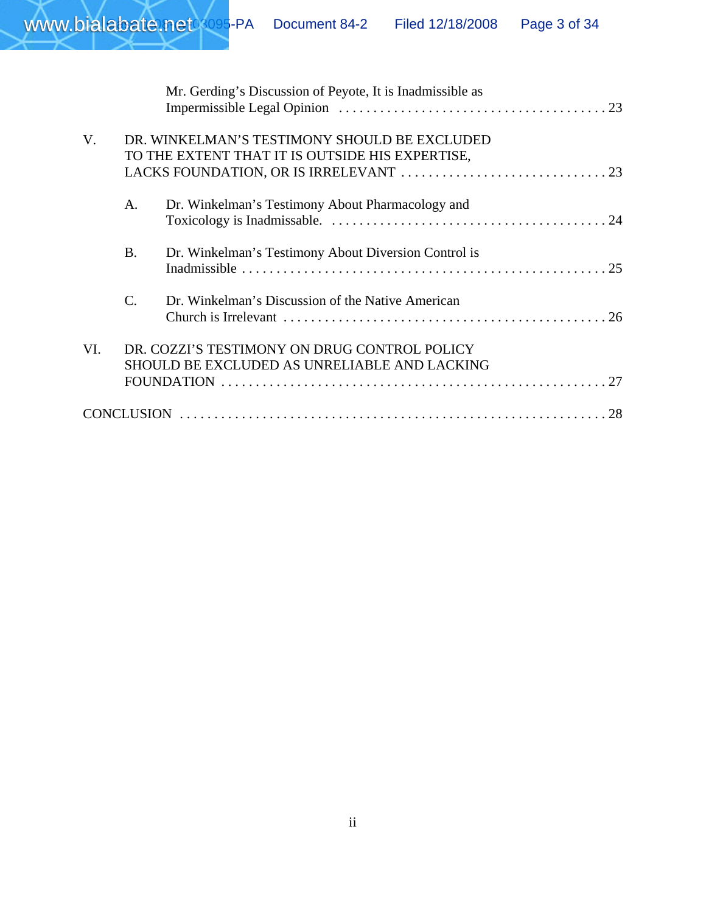|     |                | Mr. Gerding's Discussion of Peyote, It is Inadmissible as                                    |  |
|-----|----------------|----------------------------------------------------------------------------------------------|--|
|     |                |                                                                                              |  |
| V.  |                | DR. WINKELMAN'S TESTIMONY SHOULD BE EXCLUDED                                                 |  |
|     |                | TO THE EXTENT THAT IT IS OUTSIDE HIS EXPERTISE,                                              |  |
|     |                |                                                                                              |  |
|     | A <sub>1</sub> | Dr. Winkelman's Testimony About Pharmacology and                                             |  |
|     | <b>B.</b>      | Dr. Winkelman's Testimony About Diversion Control is                                         |  |
|     | $C_{\cdot}$    | Dr. Winkelman's Discussion of the Native American                                            |  |
| VI. |                | DR. COZZI'S TESTIMONY ON DRUG CONTROL POLICY<br>SHOULD BE EXCLUDED AS UNRELIABLE AND LACKING |  |
|     |                |                                                                                              |  |
|     |                |                                                                                              |  |
|     |                |                                                                                              |  |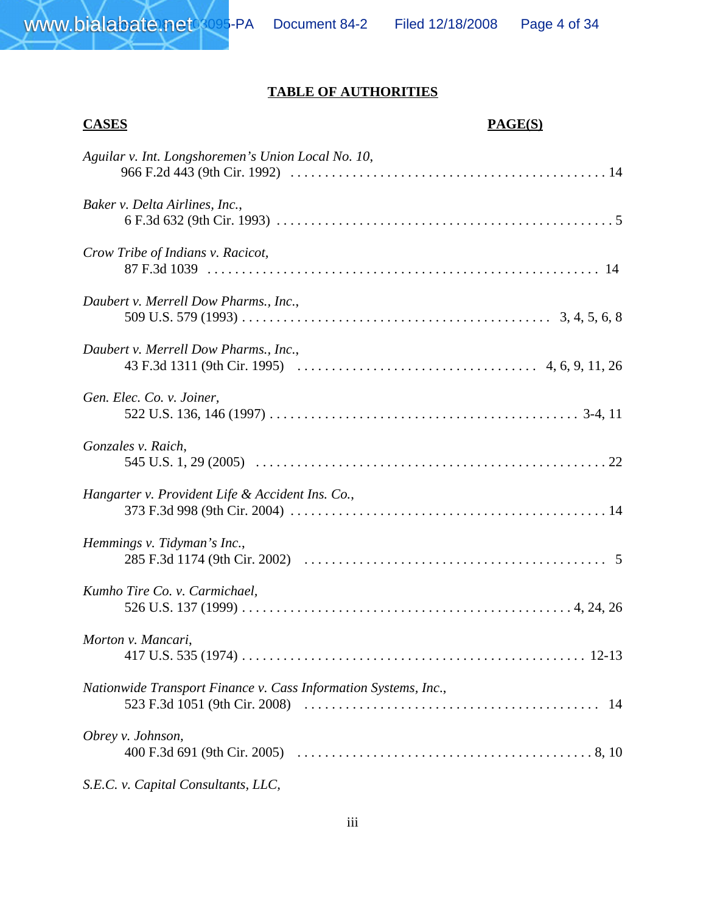## **TABLE OF AUTHORITIES**

| <b>CASES</b>                                                    | <b>PAGE(S)</b> |
|-----------------------------------------------------------------|----------------|
| Aguilar v. Int. Longshoremen's Union Local No. 10,              |                |
| Baker v. Delta Airlines, Inc.,                                  |                |
| Crow Tribe of Indians v. Racicot,                               |                |
| Daubert v. Merrell Dow Pharms., Inc.,                           |                |
| Daubert v. Merrell Dow Pharms., Inc.,                           |                |
| Gen. Elec. Co. v. Joiner,                                       |                |
| Gonzales v. Raich,                                              |                |
| Hangarter v. Provident Life & Accident Ins. Co.,                |                |
| Hemmings v. Tidyman's Inc.,                                     |                |
| Kumho Tire Co. v. Carmichael,                                   |                |
| Morton v. Mancari,                                              |                |
| Nationwide Transport Finance v. Cass Information Systems, Inc., |                |
| Obrey v. Johnson,                                               |                |
|                                                                 |                |

*S.E.C. v. Capital Consultants, LLC,*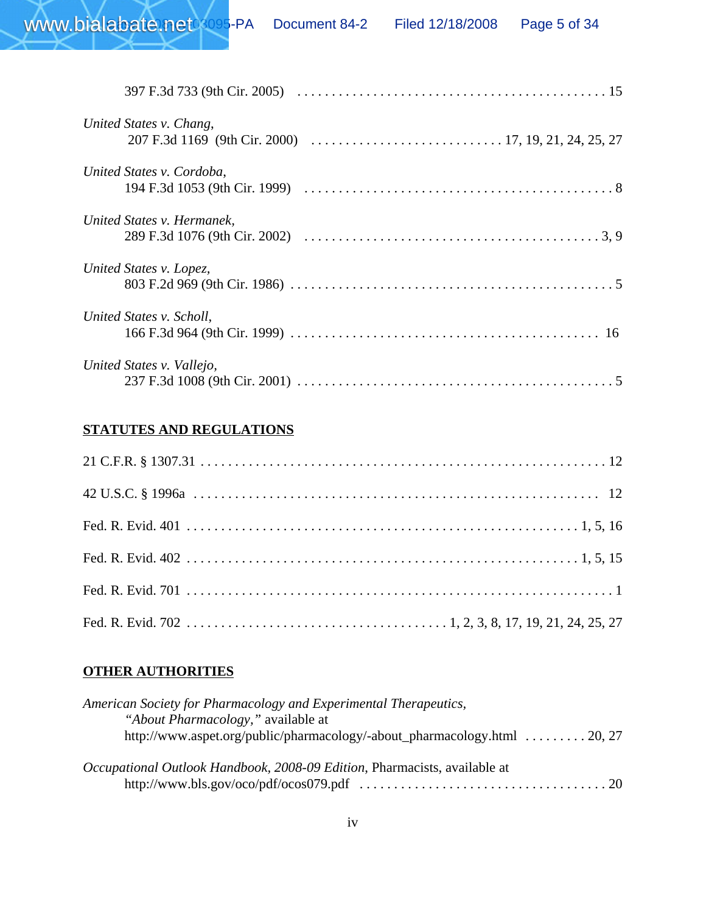| United States v. Chang,    |  |
|----------------------------|--|
| United States v. Cordoba,  |  |
| United States v. Hermanek, |  |
| United States v. Lopez,    |  |
| United States v. Scholl,   |  |
| United States v. Vallejo,  |  |

## **STATUTES AND REGULATIONS**

## **OTHER AUTHORITIES**

| American Society for Pharmacology and Experimental Therapeutics,          |  |
|---------------------------------------------------------------------------|--|
| "About Pharmacology," available at                                        |  |
| http://www.aspet.org/public/pharmacology/-about_pharmacology.html  20, 27 |  |
|                                                                           |  |
| Occupational Outlook Handbook, 2008-09 Edition, Pharmacists, available at |  |
|                                                                           |  |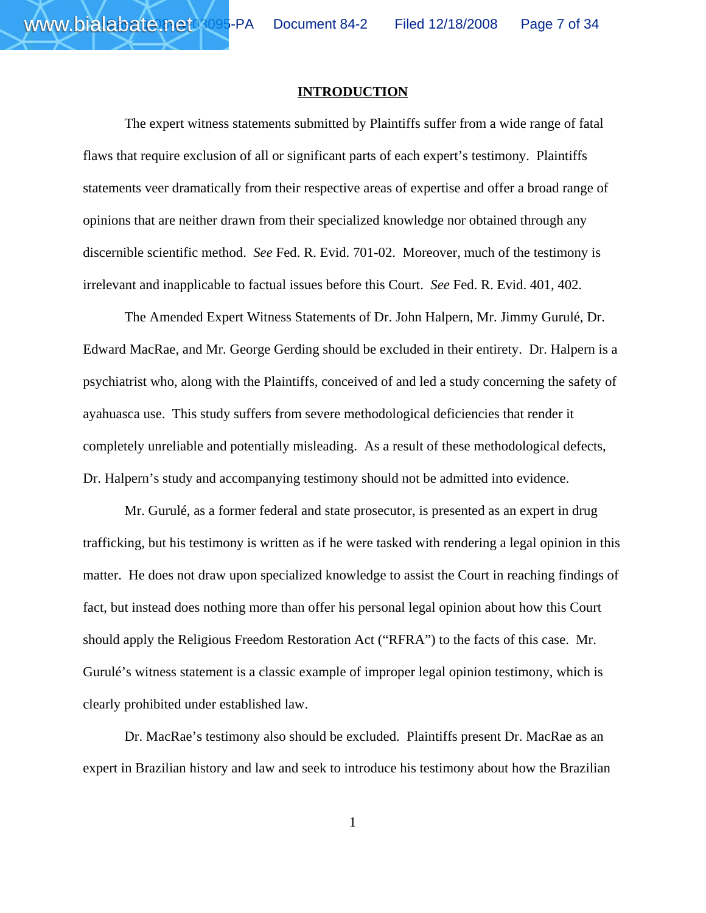#### **INTRODUCTION**

The expert witness statements submitted by Plaintiffs suffer from a wide range of fatal flaws that require exclusion of all or significant parts of each expert's testimony. Plaintiffs statements veer dramatically from their respective areas of expertise and offer a broad range of opinions that are neither drawn from their specialized knowledge nor obtained through any discernible scientific method. *See* Fed. R. Evid. 701-02. Moreover, much of the testimony is irrelevant and inapplicable to factual issues before this Court. *See* Fed. R. Evid. 401, 402.

The Amended Expert Witness Statements of Dr. John Halpern, Mr. Jimmy Gurulé, Dr. Edward MacRae, and Mr. George Gerding should be excluded in their entirety. Dr. Halpern is a psychiatrist who, along with the Plaintiffs, conceived of and led a study concerning the safety of ayahuasca use. This study suffers from severe methodological deficiencies that render it completely unreliable and potentially misleading. As a result of these methodological defects, Dr. Halpern's study and accompanying testimony should not be admitted into evidence.

Mr. Gurulé, as a former federal and state prosecutor, is presented as an expert in drug trafficking, but his testimony is written as if he were tasked with rendering a legal opinion in this matter. He does not draw upon specialized knowledge to assist the Court in reaching findings of fact, but instead does nothing more than offer his personal legal opinion about how this Court should apply the Religious Freedom Restoration Act ("RFRA") to the facts of this case. Mr. Gurulé's witness statement is a classic example of improper legal opinion testimony, which is clearly prohibited under established law.

Dr. MacRae's testimony also should be excluded. Plaintiffs present Dr. MacRae as an expert in Brazilian history and law and seek to introduce his testimony about how the Brazilian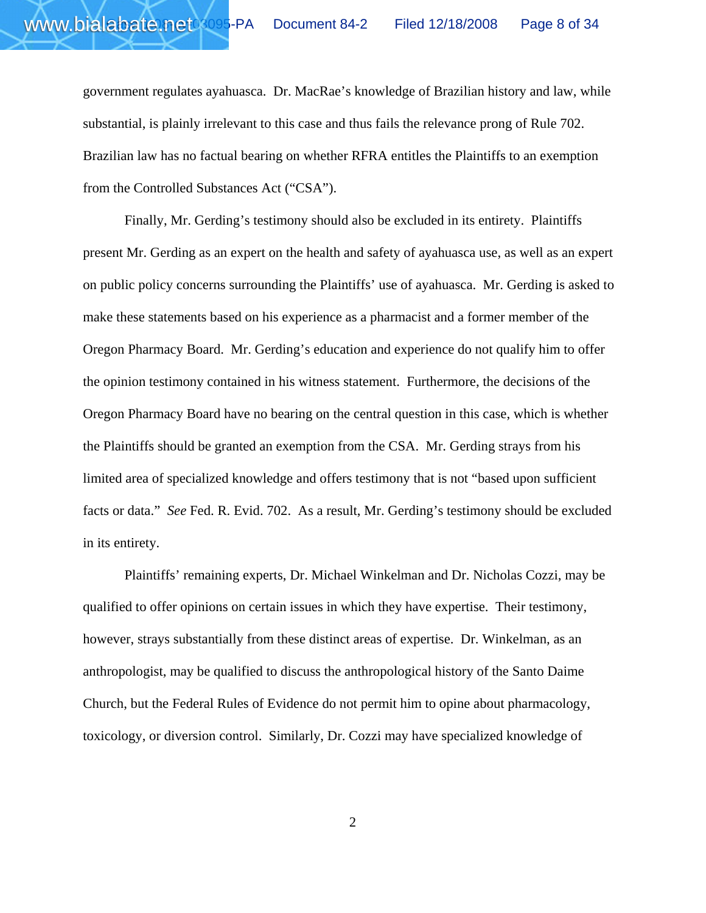government regulates ayahuasca. Dr. MacRae's knowledge of Brazilian history and law, while substantial, is plainly irrelevant to this case and thus fails the relevance prong of Rule 702. Brazilian law has no factual bearing on whether RFRA entitles the Plaintiffs to an exemption from the Controlled Substances Act ("CSA").

Finally, Mr. Gerding's testimony should also be excluded in its entirety. Plaintiffs present Mr. Gerding as an expert on the health and safety of ayahuasca use, as well as an expert on public policy concerns surrounding the Plaintiffs' use of ayahuasca. Mr. Gerding is asked to make these statements based on his experience as a pharmacist and a former member of the Oregon Pharmacy Board. Mr. Gerding's education and experience do not qualify him to offer the opinion testimony contained in his witness statement. Furthermore, the decisions of the Oregon Pharmacy Board have no bearing on the central question in this case, which is whether the Plaintiffs should be granted an exemption from the CSA. Mr. Gerding strays from his limited area of specialized knowledge and offers testimony that is not "based upon sufficient facts or data." *See* Fed. R. Evid. 702. As a result, Mr. Gerding's testimony should be excluded in its entirety.

Plaintiffs' remaining experts, Dr. Michael Winkelman and Dr. Nicholas Cozzi, may be qualified to offer opinions on certain issues in which they have expertise. Their testimony, however, strays substantially from these distinct areas of expertise. Dr. Winkelman, as an anthropologist, may be qualified to discuss the anthropological history of the Santo Daime Church, but the Federal Rules of Evidence do not permit him to opine about pharmacology, toxicology, or diversion control. Similarly, Dr. Cozzi may have specialized knowledge of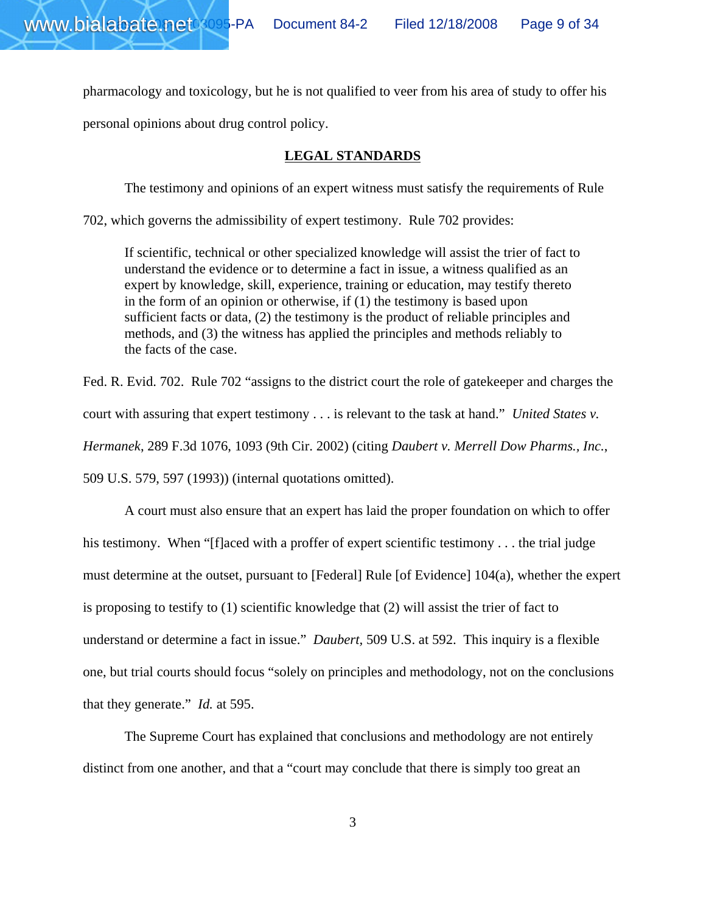pharmacology and toxicology, but he is not qualified to veer from his area of study to offer his personal opinions about drug control policy.

### **LEGAL STANDARDS**

The testimony and opinions of an expert witness must satisfy the requirements of Rule

702, which governs the admissibility of expert testimony. Rule 702 provides:

If scientific, technical or other specialized knowledge will assist the trier of fact to understand the evidence or to determine a fact in issue, a witness qualified as an expert by knowledge, skill, experience, training or education, may testify thereto in the form of an opinion or otherwise, if (1) the testimony is based upon sufficient facts or data, (2) the testimony is the product of reliable principles and methods, and (3) the witness has applied the principles and methods reliably to the facts of the case.

Fed. R. Evid. 702. Rule 702 "assigns to the district court the role of gatekeeper and charges the court with assuring that expert testimony . . . is relevant to the task at hand." *United States v. Hermanek*, 289 F.3d 1076, 1093 (9th Cir. 2002) (citing *Daubert v. Merrell Dow Pharms., Inc.*, 509 U.S. 579, 597 (1993)) (internal quotations omitted).

A court must also ensure that an expert has laid the proper foundation on which to offer his testimony. When "[f]aced with a proffer of expert scientific testimony . . . the trial judge must determine at the outset, pursuant to [Federal] Rule [of Evidence] 104(a), whether the expert is proposing to testify to (1) scientific knowledge that (2) will assist the trier of fact to understand or determine a fact in issue." *Daubert,* 509 U.S. at 592. This inquiry is a flexible one, but trial courts should focus "solely on principles and methodology, not on the conclusions that they generate." *Id.* at 595.

The Supreme Court has explained that conclusions and methodology are not entirely distinct from one another, and that a "court may conclude that there is simply too great an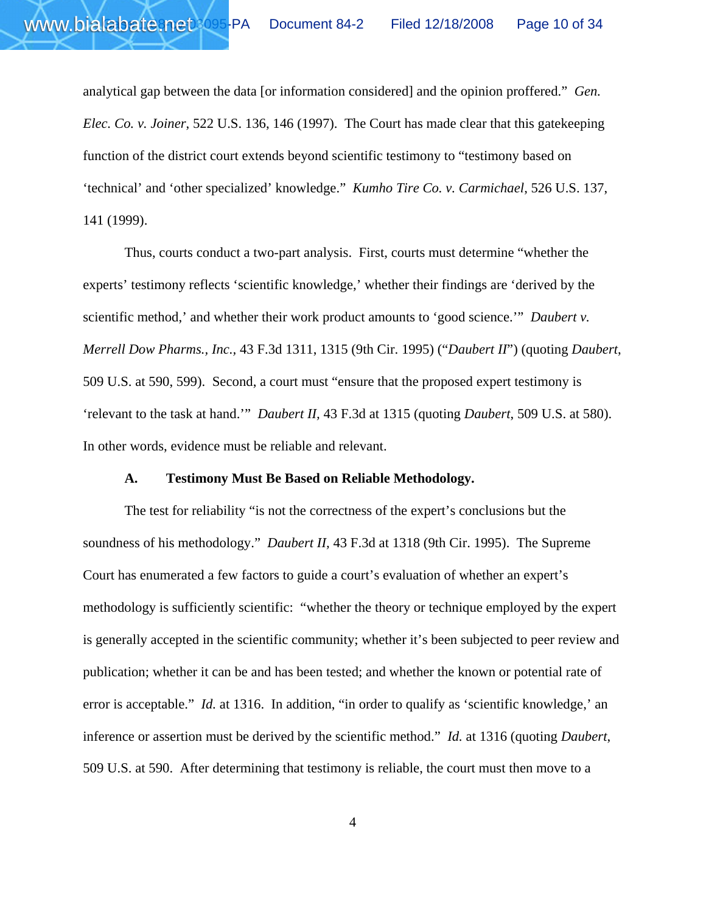analytical gap between the data [or information considered] and the opinion proffered." *Gen. Elec. Co. v. Joiner*, 522 U.S. 136, 146 (1997). The Court has made clear that this gatekeeping function of the district court extends beyond scientific testimony to "testimony based on 'technical' and 'other specialized' knowledge." *Kumho Tire Co. v. Carmichael*, 526 U.S. 137, 141 (1999).

www.bial abate.net

Thus, courts conduct a two-part analysis. First, courts must determine "whether the experts' testimony reflects 'scientific knowledge,' whether their findings are 'derived by the scientific method,' and whether their work product amounts to 'good science.'" *Daubert v. Merrell Dow Pharms., Inc.,* 43 F.3d 1311, 1315 (9th Cir. 1995) ("*Daubert II*") (quoting *Daubert*, 509 U.S. at 590, 599). Second, a court must "ensure that the proposed expert testimony is 'relevant to the task at hand.'" *Daubert II,* 43 F.3d at 1315 (quoting *Daubert*, 509 U.S. at 580). In other words, evidence must be reliable and relevant.

#### **A. Testimony Must Be Based on Reliable Methodology.**

The test for reliability "is not the correctness of the expert's conclusions but the soundness of his methodology." *Daubert II,* 43 F.3d at 1318 (9th Cir. 1995). The Supreme Court has enumerated a few factors to guide a court's evaluation of whether an expert's methodology is sufficiently scientific: "whether the theory or technique employed by the expert is generally accepted in the scientific community; whether it's been subjected to peer review and publication; whether it can be and has been tested; and whether the known or potential rate of error is acceptable." *Id.* at 1316. In addition, "in order to qualify as 'scientific knowledge,' an inference or assertion must be derived by the scientific method." *Id.* at 1316 (quoting *Daubert*, 509 U.S. at 590. After determining that testimony is reliable, the court must then move to a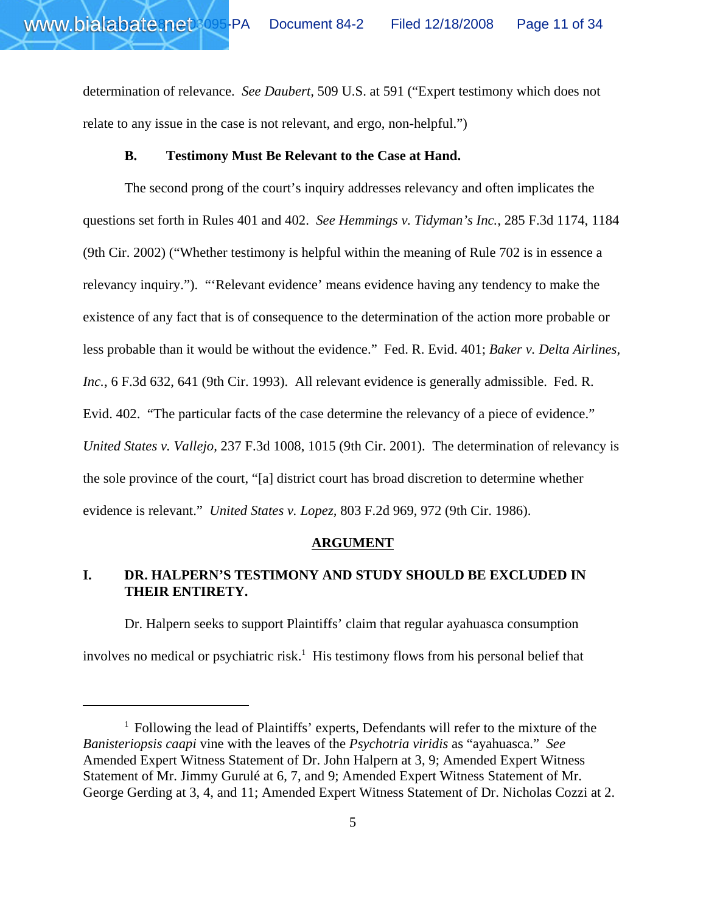determination of relevance. *See Daubert,* 509 U.S. at 591 ("Expert testimony which does not relate to any issue in the case is not relevant, and ergo, non-helpful.")

#### **B. Testimony Must Be Relevant to the Case at Hand.**

www.bial abate.net

The second prong of the court's inquiry addresses relevancy and often implicates the questions set forth in Rules 401 and 402. *See Hemmings v. Tidyman's Inc.,* 285 F.3d 1174, 1184 (9th Cir. 2002) ("Whether testimony is helpful within the meaning of Rule 702 is in essence a relevancy inquiry."). "'Relevant evidence' means evidence having any tendency to make the existence of any fact that is of consequence to the determination of the action more probable or less probable than it would be without the evidence." Fed. R. Evid. 401; *Baker v. Delta Airlines, Inc.*, 6 F.3d 632, 641 (9th Cir. 1993). All relevant evidence is generally admissible. Fed. R. Evid. 402. "The particular facts of the case determine the relevancy of a piece of evidence." *United States v. Vallejo,* 237 F.3d 1008, 1015 (9th Cir. 2001). The determination of relevancy is the sole province of the court, "[a] district court has broad discretion to determine whether evidence is relevant." *United States v. Lopez,* 803 F.2d 969, 972 (9th Cir. 1986).

#### **ARGUMENT**

### **I. DR. HALPERN'S TESTIMONY AND STUDY SHOULD BE EXCLUDED IN THEIR ENTIRETY.**

Dr. Halpern seeks to support Plaintiffs' claim that regular ayahuasca consumption involves no medical or psychiatric risk.<sup>1</sup> His testimony flows from his personal belief that

<sup>&</sup>lt;sup>1</sup> Following the lead of Plaintiffs' experts, Defendants will refer to the mixture of the *Banisteriopsis caapi* vine with the leaves of the *Psychotria viridis* as "ayahuasca." *See* Amended Expert Witness Statement of Dr. John Halpern at 3, 9; Amended Expert Witness Statement of Mr. Jimmy Gurulé at 6, 7, and 9; Amended Expert Witness Statement of Mr. George Gerding at 3, 4, and 11; Amended Expert Witness Statement of Dr. Nicholas Cozzi at 2.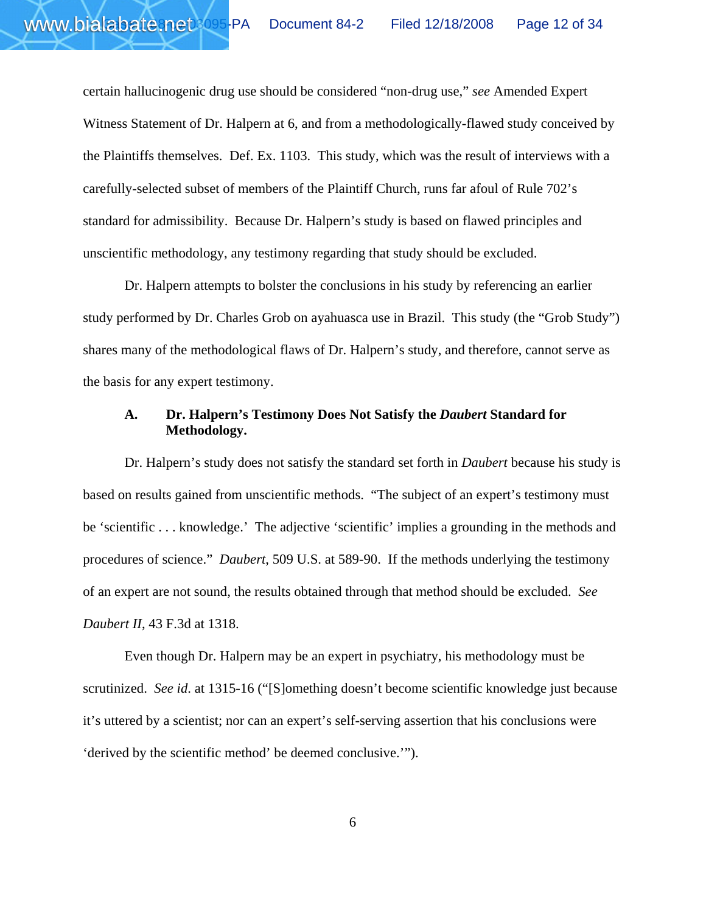certain hallucinogenic drug use should be considered "non-drug use," *see* Amended Expert Witness Statement of Dr. Halpern at 6, and from a methodologically-flawed study conceived by the Plaintiffs themselves. Def. Ex. 1103. This study, which was the result of interviews with a carefully-selected subset of members of the Plaintiff Church, runs far afoul of Rule 702's standard for admissibility. Because Dr. Halpern's study is based on flawed principles and unscientific methodology, any testimony regarding that study should be excluded.

www.bial abate.net

Dr. Halpern attempts to bolster the conclusions in his study by referencing an earlier study performed by Dr. Charles Grob on ayahuasca use in Brazil. This study (the "Grob Study") shares many of the methodological flaws of Dr. Halpern's study, and therefore, cannot serve as the basis for any expert testimony.

### **A. Dr. Halpern's Testimony Does Not Satisfy the** *Daubert* **Standard for Methodology.**

Dr. Halpern's study does not satisfy the standard set forth in *Daubert* because his study is based on results gained from unscientific methods. "The subject of an expert's testimony must be 'scientific . . . knowledge.' The adjective 'scientific' implies a grounding in the methods and procedures of science." *Daubert*, 509 U.S. at 589-90. If the methods underlying the testimony of an expert are not sound, the results obtained through that method should be excluded. *See Daubert II*, 43 F.3d at 1318.

Even though Dr. Halpern may be an expert in psychiatry, his methodology must be scrutinized. *See id*. at 1315-16 ("[S]omething doesn't become scientific knowledge just because it's uttered by a scientist; nor can an expert's self-serving assertion that his conclusions were 'derived by the scientific method' be deemed conclusive.'").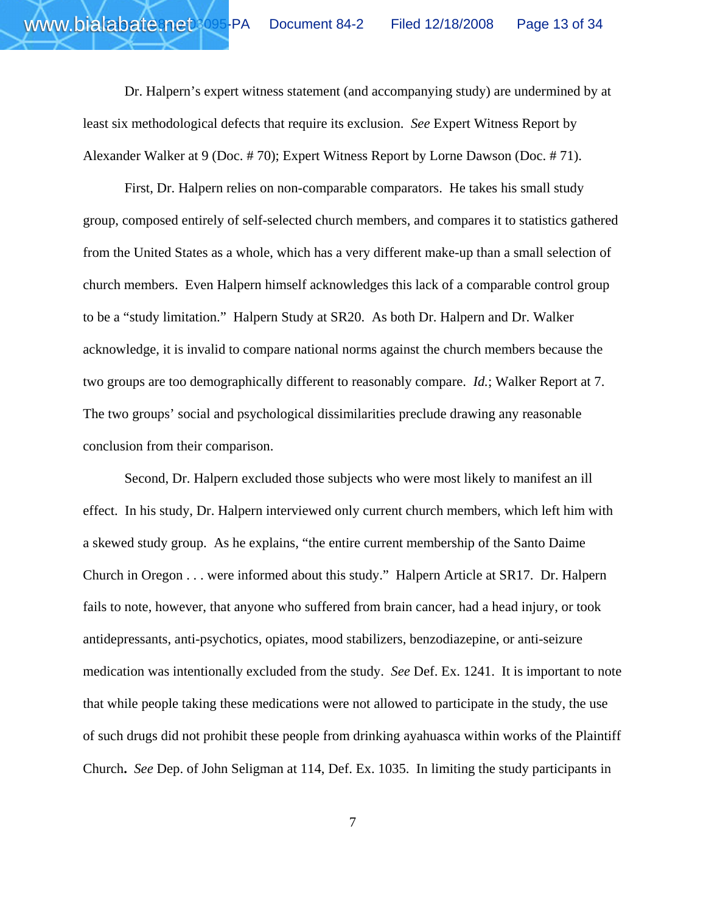Dr. Halpern's expert witness statement (and accompanying study) are undermined by at least six methodological defects that require its exclusion. *See* Expert Witness Report by Alexander Walker at 9 (Doc. # 70); Expert Witness Report by Lorne Dawson (Doc. # 71).

www.bial abate.net

First, Dr. Halpern relies on non-comparable comparators. He takes his small study group, composed entirely of self-selected church members, and compares it to statistics gathered from the United States as a whole, which has a very different make-up than a small selection of church members. Even Halpern himself acknowledges this lack of a comparable control group to be a "study limitation." Halpern Study at SR20. As both Dr. Halpern and Dr. Walker acknowledge, it is invalid to compare national norms against the church members because the two groups are too demographically different to reasonably compare. *Id.*; Walker Report at 7. The two groups' social and psychological dissimilarities preclude drawing any reasonable conclusion from their comparison.

Second, Dr. Halpern excluded those subjects who were most likely to manifest an ill effect. In his study, Dr. Halpern interviewed only current church members, which left him with a skewed study group. As he explains, "the entire current membership of the Santo Daime Church in Oregon . . . were informed about this study." Halpern Article at SR17. Dr. Halpern fails to note, however, that anyone who suffered from brain cancer, had a head injury, or took antidepressants, anti-psychotics, opiates, mood stabilizers, benzodiazepine, or anti-seizure medication was intentionally excluded from the study. *See* Def. Ex. 1241. It is important to note that while people taking these medications were not allowed to participate in the study, the use of such drugs did not prohibit these people from drinking ayahuasca within works of the Plaintiff Church**.** *See* Dep. of John Seligman at 114, Def. Ex. 1035. In limiting the study participants in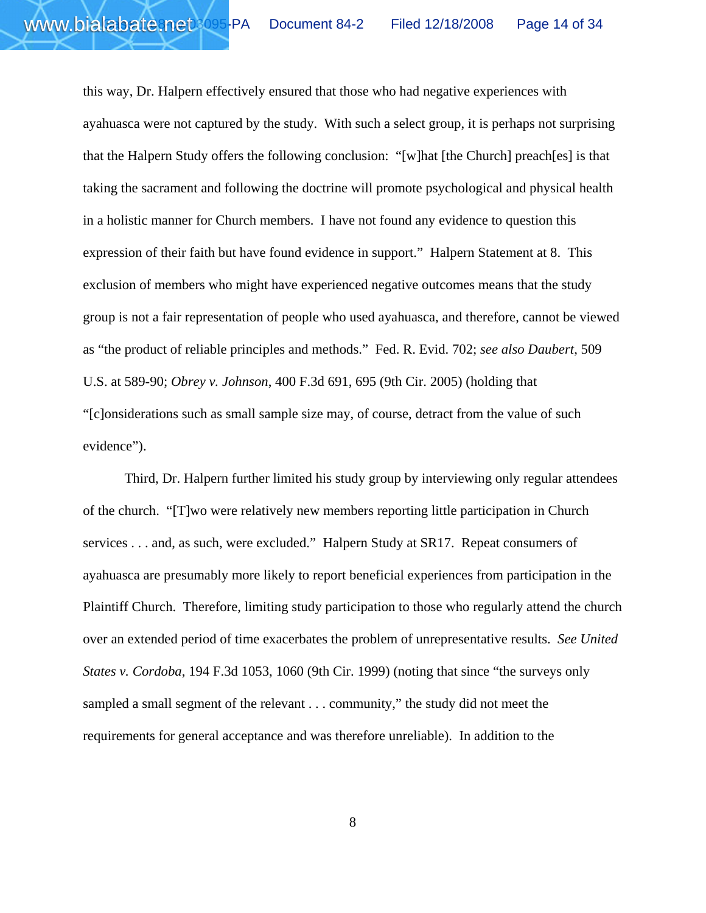this way, Dr. Halpern effectively ensured that those who had negative experiences with ayahuasca were not captured by the study. With such a select group, it is perhaps not surprising that the Halpern Study offers the following conclusion: "[w]hat [the Church] preach[es] is that taking the sacrament and following the doctrine will promote psychological and physical health in a holistic manner for Church members. I have not found any evidence to question this expression of their faith but have found evidence in support." Halpern Statement at 8. This exclusion of members who might have experienced negative outcomes means that the study group is not a fair representation of people who used ayahuasca, and therefore, cannot be viewed as "the product of reliable principles and methods." Fed. R. Evid. 702; *see also Daubert*, 509 U.S. at 589-90; *Obrey v. Johnson*, 400 F.3d 691, 695 (9th Cir. 2005) (holding that "[c]onsiderations such as small sample size may, of course, detract from the value of such evidence").

www.bial abate.net

Third, Dr. Halpern further limited his study group by interviewing only regular attendees of the church. "[T]wo were relatively new members reporting little participation in Church services . . . and, as such, were excluded." Halpern Study at SR17. Repeat consumers of ayahuasca are presumably more likely to report beneficial experiences from participation in the Plaintiff Church. Therefore, limiting study participation to those who regularly attend the church over an extended period of time exacerbates the problem of unrepresentative results. *See United States v. Cordoba*, 194 F.3d 1053, 1060 (9th Cir. 1999) (noting that since "the surveys only sampled a small segment of the relevant . . . community," the study did not meet the requirements for general acceptance and was therefore unreliable). In addition to the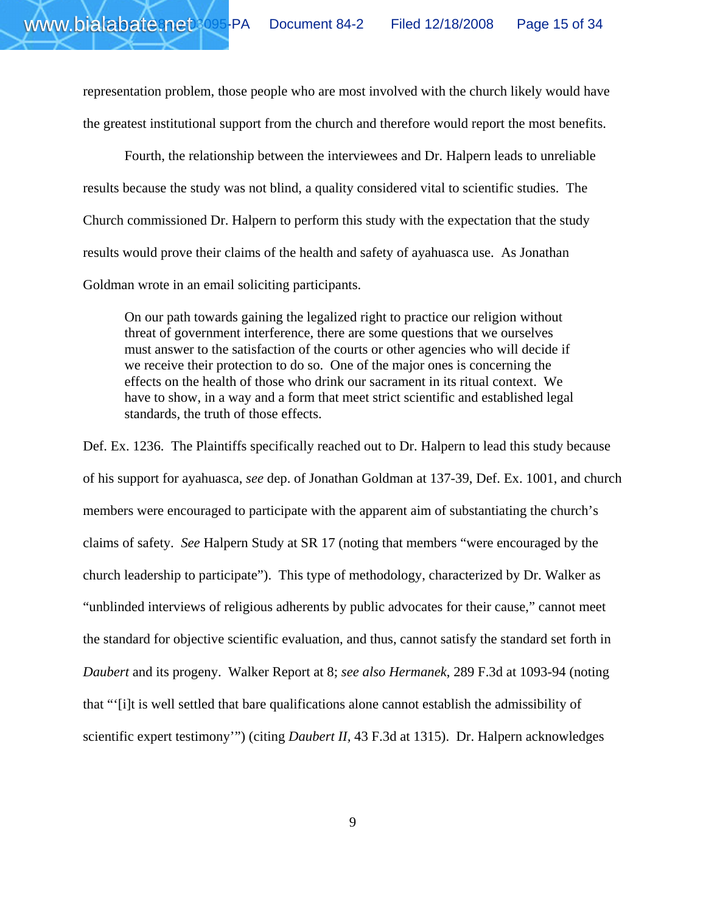representation problem, those people who are most involved with the church likely would have the greatest institutional support from the church and therefore would report the most benefits.

www.bial abate.net

Fourth, the relationship between the interviewees and Dr. Halpern leads to unreliable results because the study was not blind, a quality considered vital to scientific studies. The Church commissioned Dr. Halpern to perform this study with the expectation that the study results would prove their claims of the health and safety of ayahuasca use. As Jonathan Goldman wrote in an email soliciting participants.

On our path towards gaining the legalized right to practice our religion without threat of government interference, there are some questions that we ourselves must answer to the satisfaction of the courts or other agencies who will decide if we receive their protection to do so. One of the major ones is concerning the effects on the health of those who drink our sacrament in its ritual context. We have to show, in a way and a form that meet strict scientific and established legal standards, the truth of those effects.

Def. Ex. 1236. The Plaintiffs specifically reached out to Dr. Halpern to lead this study because of his support for ayahuasca, *see* dep. of Jonathan Goldman at 137-39, Def. Ex. 1001, and church members were encouraged to participate with the apparent aim of substantiating the church's claims of safety. *See* Halpern Study at SR 17 (noting that members "were encouraged by the church leadership to participate"). This type of methodology, characterized by Dr. Walker as "unblinded interviews of religious adherents by public advocates for their cause," cannot meet the standard for objective scientific evaluation, and thus, cannot satisfy the standard set forth in *Daubert* and its progeny. Walker Report at 8; *see also Hermanek*, 289 F.3d at 1093-94 (noting that "'[i]t is well settled that bare qualifications alone cannot establish the admissibility of scientific expert testimony'") (citing *Daubert II,* 43 F.3d at 1315). Dr. Halpern acknowledges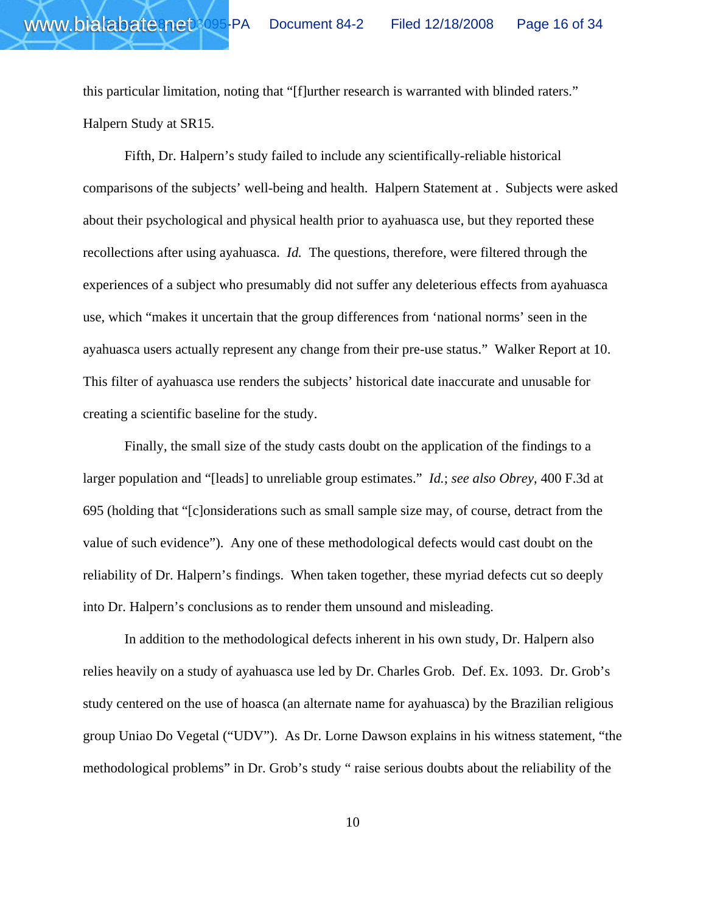this particular limitation, noting that "[f]urther research is warranted with blinded raters." Halpern Study at SR15.

www.bial abate.net

Fifth, Dr. Halpern's study failed to include any scientifically-reliable historical comparisons of the subjects' well-being and health. Halpern Statement at . Subjects were asked about their psychological and physical health prior to ayahuasca use, but they reported these recollections after using ayahuasca. *Id.* The questions, therefore, were filtered through the experiences of a subject who presumably did not suffer any deleterious effects from ayahuasca use, which "makes it uncertain that the group differences from 'national norms' seen in the ayahuasca users actually represent any change from their pre-use status." Walker Report at 10. This filter of ayahuasca use renders the subjects' historical date inaccurate and unusable for creating a scientific baseline for the study.

Finally, the small size of the study casts doubt on the application of the findings to a larger population and "[leads] to unreliable group estimates." *Id.*; *see also Obrey*, 400 F.3d at 695 (holding that "[c]onsiderations such as small sample size may, of course, detract from the value of such evidence"). Any one of these methodological defects would cast doubt on the reliability of Dr. Halpern's findings. When taken together, these myriad defects cut so deeply into Dr. Halpern's conclusions as to render them unsound and misleading.

In addition to the methodological defects inherent in his own study, Dr. Halpern also relies heavily on a study of ayahuasca use led by Dr. Charles Grob. Def. Ex. 1093. Dr. Grob's study centered on the use of hoasca (an alternate name for ayahuasca) by the Brazilian religious group Uniao Do Vegetal ("UDV"). As Dr. Lorne Dawson explains in his witness statement, "the methodological problems" in Dr. Grob's study " raise serious doubts about the reliability of the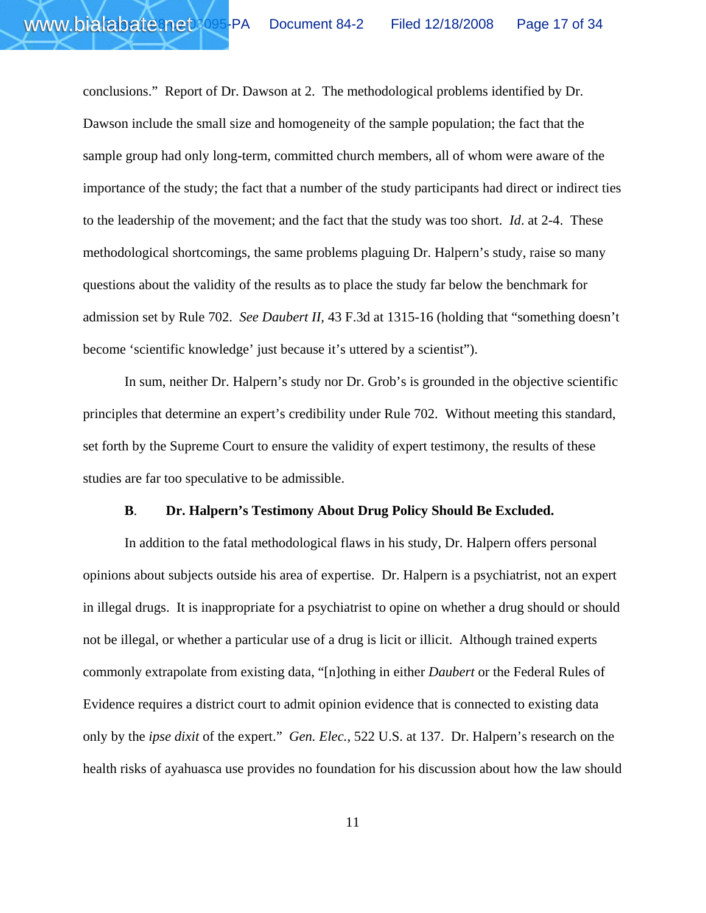conclusions." Report of Dr. Dawson at 2. The methodological problems identified by Dr. Dawson include the small size and homogeneity of the sample population; the fact that the sample group had only long-term, committed church members, all of whom were aware of the importance of the study; the fact that a number of the study participants had direct or indirect ties to the leadership of the movement; and the fact that the study was too short. *Id*. at 2-4. These methodological shortcomings, the same problems plaguing Dr. Halpern's study, raise so many questions about the validity of the results as to place the study far below the benchmark for admission set by Rule 702. *See Daubert II,* 43 F.3d at 1315-16 (holding that "something doesn't become 'scientific knowledge' just because it's uttered by a scientist").

www.bial abate.net

In sum, neither Dr. Halpern's study nor Dr. Grob's is grounded in the objective scientific principles that determine an expert's credibility under Rule 702. Without meeting this standard, set forth by the Supreme Court to ensure the validity of expert testimony, the results of these studies are far too speculative to be admissible.

#### **B**. **Dr. Halpern's Testimony About Drug Policy Should Be Excluded.**

In addition to the fatal methodological flaws in his study, Dr. Halpern offers personal opinions about subjects outside his area of expertise. Dr. Halpern is a psychiatrist, not an expert in illegal drugs. It is inappropriate for a psychiatrist to opine on whether a drug should or should not be illegal, or whether a particular use of a drug is licit or illicit. Although trained experts commonly extrapolate from existing data, "[n]othing in either *Daubert* or the Federal Rules of Evidence requires a district court to admit opinion evidence that is connected to existing data only by the *ipse dixit* of the expert." *Gen. Elec.*, 522 U.S. at 137. Dr. Halpern's research on the health risks of ayahuasca use provides no foundation for his discussion about how the law should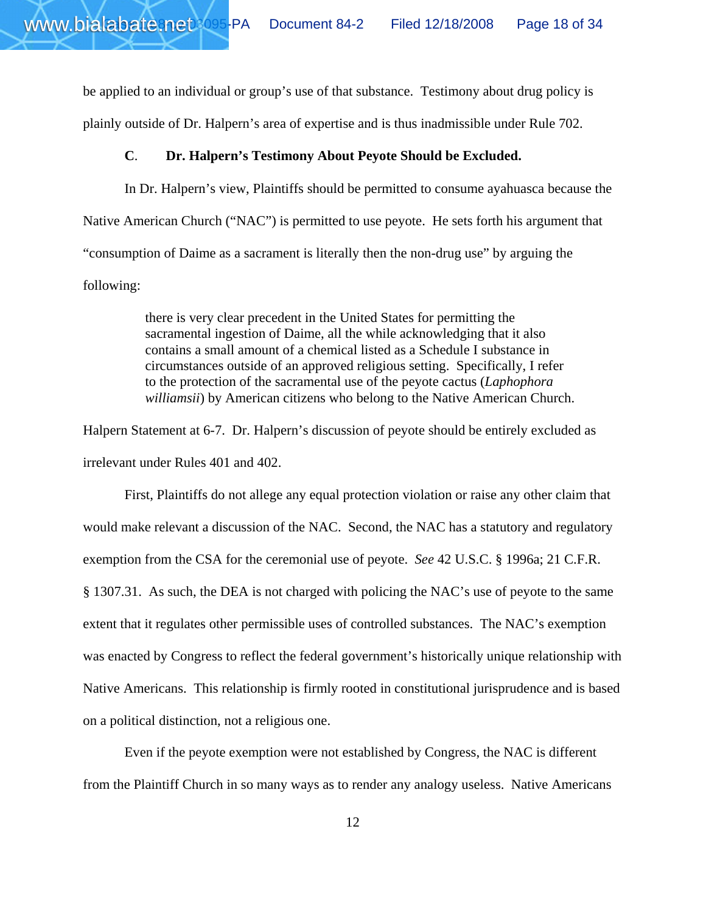be applied to an individual or group's use of that substance. Testimony about drug policy is plainly outside of Dr. Halpern's area of expertise and is thus inadmissible under Rule 702.

#### **C**. **Dr. Halpern's Testimony About Peyote Should be Excluded.**

www.bial abate.net

In Dr. Halpern's view, Plaintiffs should be permitted to consume ayahuasca because the Native American Church ("NAC") is permitted to use peyote. He sets forth his argument that "consumption of Daime as a sacrament is literally then the non-drug use" by arguing the following:

> there is very clear precedent in the United States for permitting the sacramental ingestion of Daime, all the while acknowledging that it also contains a small amount of a chemical listed as a Schedule I substance in circumstances outside of an approved religious setting. Specifically, I refer to the protection of the sacramental use of the peyote cactus (*Laphophora williamsii*) by American citizens who belong to the Native American Church.

Halpern Statement at 6-7. Dr. Halpern's discussion of peyote should be entirely excluded as irrelevant under Rules 401 and 402.

First, Plaintiffs do not allege any equal protection violation or raise any other claim that would make relevant a discussion of the NAC. Second, the NAC has a statutory and regulatory exemption from the CSA for the ceremonial use of peyote. *See* 42 U.S.C. § 1996a; 21 C.F.R. § 1307.31. As such, the DEA is not charged with policing the NAC's use of peyote to the same extent that it regulates other permissible uses of controlled substances. The NAC's exemption was enacted by Congress to reflect the federal government's historically unique relationship with Native Americans. This relationship is firmly rooted in constitutional jurisprudence and is based on a political distinction, not a religious one.

Even if the peyote exemption were not established by Congress, the NAC is different from the Plaintiff Church in so many ways as to render any analogy useless. Native Americans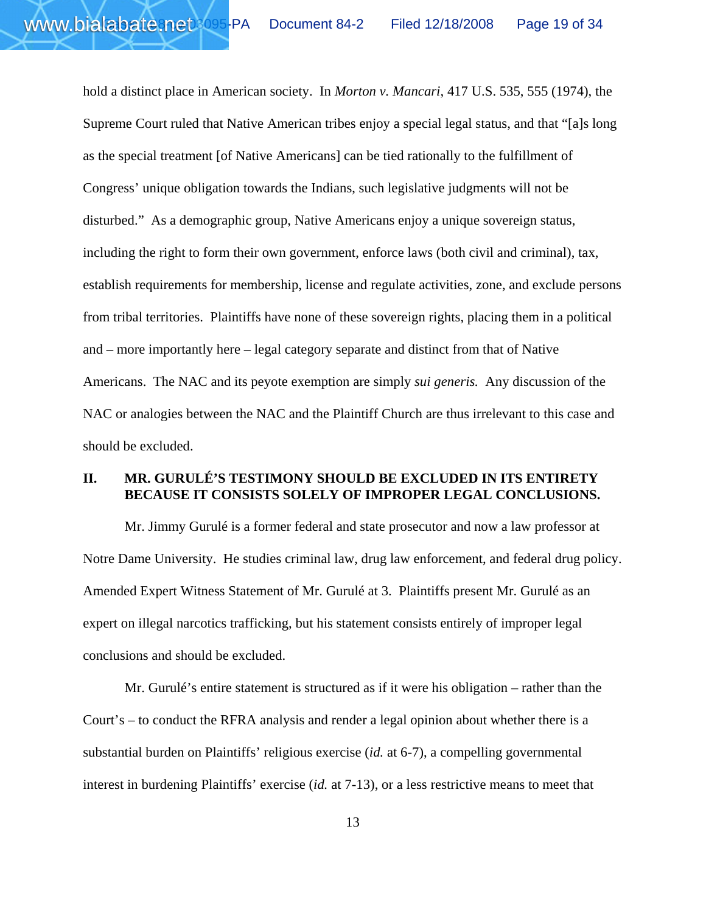hold a distinct place in American society. In *Morton v. Mancari*, 417 U.S. 535, 555 (1974), the Supreme Court ruled that Native American tribes enjoy a special legal status, and that "[a]s long as the special treatment [of Native Americans] can be tied rationally to the fulfillment of Congress' unique obligation towards the Indians, such legislative judgments will not be disturbed." As a demographic group, Native Americans enjoy a unique sovereign status, including the right to form their own government, enforce laws (both civil and criminal), tax, establish requirements for membership, license and regulate activities, zone, and exclude persons from tribal territories. Plaintiffs have none of these sovereign rights, placing them in a political and – more importantly here – legal category separate and distinct from that of Native Americans. The NAC and its peyote exemption are simply *sui generis.* Any discussion of the NAC or analogies between the NAC and the Plaintiff Church are thus irrelevant to this case and should be excluded.

### **II. MR. GURULÉ'S TESTIMONY SHOULD BE EXCLUDED IN ITS ENTIRETY BECAUSE IT CONSISTS SOLELY OF IMPROPER LEGAL CONCLUSIONS.**

Mr. Jimmy Gurulé is a former federal and state prosecutor and now a law professor at Notre Dame University. He studies criminal law, drug law enforcement, and federal drug policy. Amended Expert Witness Statement of Mr. Gurulé at 3. Plaintiffs present Mr. Gurulé as an expert on illegal narcotics trafficking, but his statement consists entirely of improper legal conclusions and should be excluded.

Mr. Gurulé's entire statement is structured as if it were his obligation – rather than the Court's – to conduct the RFRA analysis and render a legal opinion about whether there is a substantial burden on Plaintiffs' religious exercise (*id.* at 6-7), a compelling governmental interest in burdening Plaintiffs' exercise (*id.* at 7-13), or a less restrictive means to meet that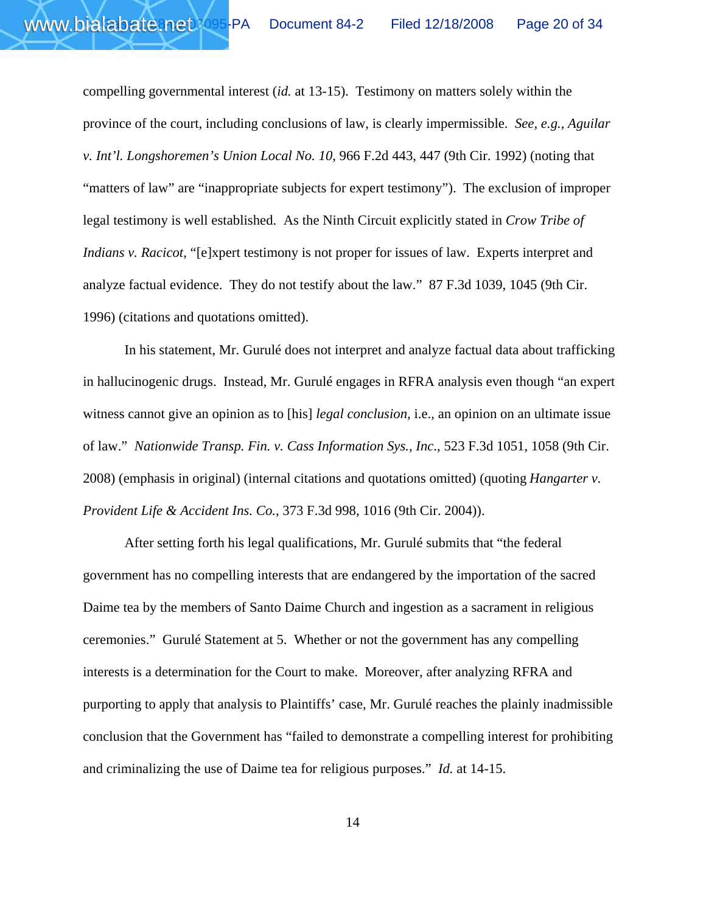compelling governmental interest (*id.* at 13-15). Testimony on matters solely within the province of the court, including conclusions of law, is clearly impermissible. *See, e.g., Aguilar v. Int'l. Longshoremen's Union Local No. 10*, 966 F.2d 443, 447 (9th Cir. 1992) (noting that "matters of law" are "inappropriate subjects for expert testimony"). The exclusion of improper legal testimony is well established. As the Ninth Circuit explicitly stated in *Crow Tribe of Indians v. Racicot*, "[e]xpert testimony is not proper for issues of law. Experts interpret and analyze factual evidence. They do not testify about the law." 87 F.3d 1039, 1045 (9th Cir. 1996) (citations and quotations omitted).

www.bial abate.net

In his statement, Mr. Gurulé does not interpret and analyze factual data about trafficking in hallucinogenic drugs. Instead, Mr. Gurulé engages in RFRA analysis even though "an expert witness cannot give an opinion as to [his] *legal conclusion,* i.e., an opinion on an ultimate issue of law." *Nationwide Transp. Fin. v. Cass Information Sys., Inc*., 523 F.3d 1051, 1058 (9th Cir. 2008) (emphasis in original) (internal citations and quotations omitted) (quoting *Hangarter v. Provident Life & Accident Ins. Co.*, 373 F.3d 998, 1016 (9th Cir. 2004)).

After setting forth his legal qualifications, Mr. Gurulé submits that "the federal government has no compelling interests that are endangered by the importation of the sacred Daime tea by the members of Santo Daime Church and ingestion as a sacrament in religious ceremonies." Gurulé Statement at 5. Whether or not the government has any compelling interests is a determination for the Court to make. Moreover, after analyzing RFRA and purporting to apply that analysis to Plaintiffs' case, Mr. Gurulé reaches the plainly inadmissible conclusion that the Government has "failed to demonstrate a compelling interest for prohibiting and criminalizing the use of Daime tea for religious purposes." *Id.* at 14-15.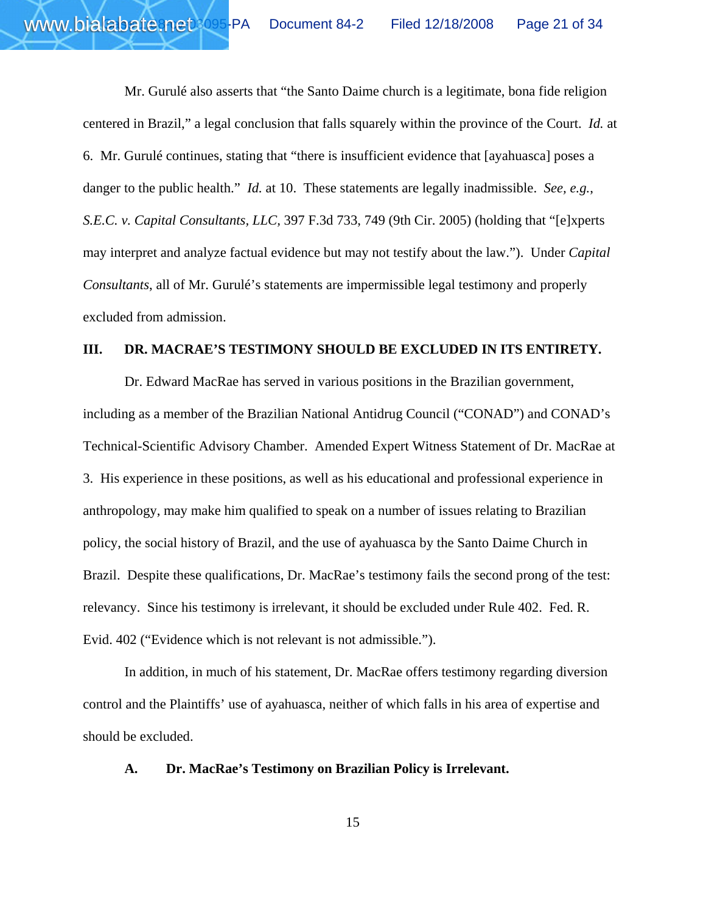Mr. Gurulé also asserts that "the Santo Daime church is a legitimate, bona fide religion centered in Brazil," a legal conclusion that falls squarely within the province of the Court. *Id.* at 6. Mr. Gurulé continues, stating that "there is insufficient evidence that [ayahuasca] poses a danger to the public health." *Id.* at 10. These statements are legally inadmissible. *See, e.g.*, *S.E.C. v. Capital Consultants, LLC,* 397 F.3d 733, 749 (9th Cir. 2005) (holding that "[e]xperts may interpret and analyze factual evidence but may not testify about the law."). Under *Capital Consultants*, all of Mr. Gurulé's statements are impermissible legal testimony and properly excluded from admission.

www.bial abate.net

#### **III. DR. MACRAE'S TESTIMONY SHOULD BE EXCLUDED IN ITS ENTIRETY.**

Dr. Edward MacRae has served in various positions in the Brazilian government, including as a member of the Brazilian National Antidrug Council ("CONAD") and CONAD's Technical-Scientific Advisory Chamber. Amended Expert Witness Statement of Dr. MacRae at 3. His experience in these positions, as well as his educational and professional experience in anthropology, may make him qualified to speak on a number of issues relating to Brazilian policy, the social history of Brazil, and the use of ayahuasca by the Santo Daime Church in Brazil. Despite these qualifications, Dr. MacRae's testimony fails the second prong of the test: relevancy. Since his testimony is irrelevant, it should be excluded under Rule 402. Fed. R. Evid. 402 ("Evidence which is not relevant is not admissible.").

In addition, in much of his statement, Dr. MacRae offers testimony regarding diversion control and the Plaintiffs' use of ayahuasca, neither of which falls in his area of expertise and should be excluded.

#### **A. Dr. MacRae's Testimony on Brazilian Policy is Irrelevant.**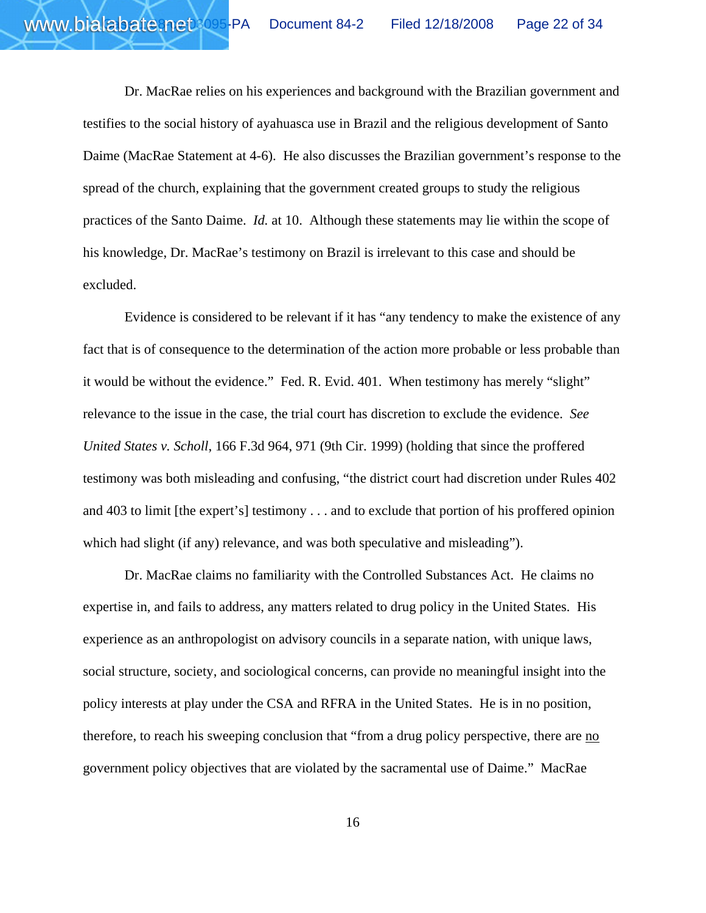Dr. MacRae relies on his experiences and background with the Brazilian government and testifies to the social history of ayahuasca use in Brazil and the religious development of Santo Daime (MacRae Statement at 4-6). He also discusses the Brazilian government's response to the spread of the church, explaining that the government created groups to study the religious practices of the Santo Daime. *Id.* at 10. Although these statements may lie within the scope of his knowledge, Dr. MacRae's testimony on Brazil is irrelevant to this case and should be excluded.

www.bial abate.net

Evidence is considered to be relevant if it has "any tendency to make the existence of any fact that is of consequence to the determination of the action more probable or less probable than it would be without the evidence." Fed. R. Evid. 401. When testimony has merely "slight" relevance to the issue in the case, the trial court has discretion to exclude the evidence. *See United States v. Scholl*, 166 F.3d 964, 971 (9th Cir. 1999) (holding that since the proffered testimony was both misleading and confusing, "the district court had discretion under Rules 402 and 403 to limit [the expert's] testimony . . . and to exclude that portion of his proffered opinion which had slight (if any) relevance, and was both speculative and misleading").

Dr. MacRae claims no familiarity with the Controlled Substances Act. He claims no expertise in, and fails to address, any matters related to drug policy in the United States. His experience as an anthropologist on advisory councils in a separate nation, with unique laws, social structure, society, and sociological concerns, can provide no meaningful insight into the policy interests at play under the CSA and RFRA in the United States. He is in no position, therefore, to reach his sweeping conclusion that "from a drug policy perspective, there are no government policy objectives that are violated by the sacramental use of Daime." MacRae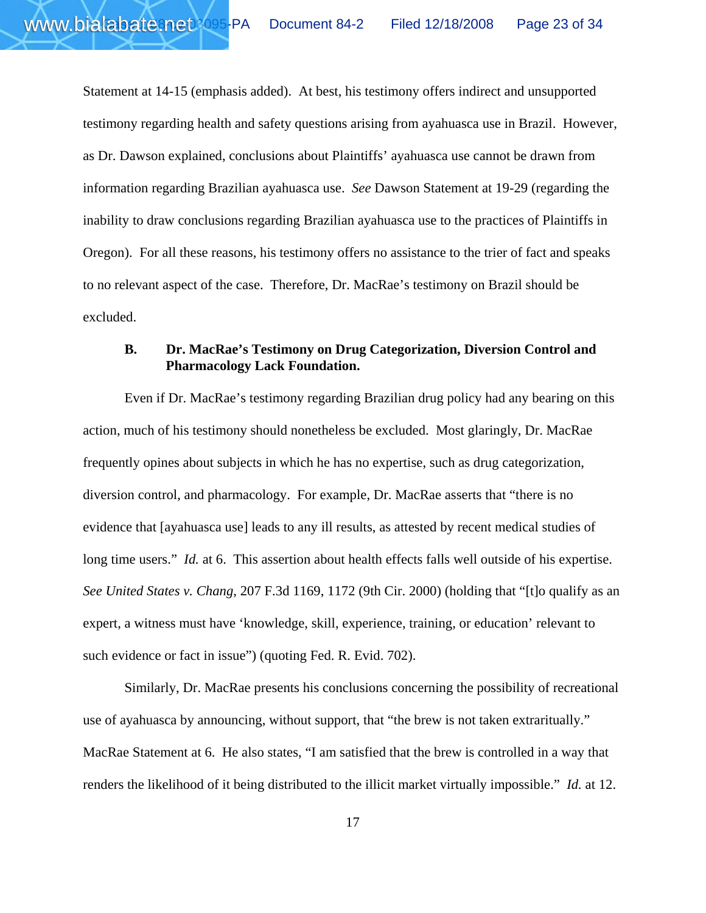Statement at 14-15 (emphasis added). At best, his testimony offers indirect and unsupported testimony regarding health and safety questions arising from ayahuasca use in Brazil. However, as Dr. Dawson explained, conclusions about Plaintiffs' ayahuasca use cannot be drawn from information regarding Brazilian ayahuasca use. *See* Dawson Statement at 19-29 (regarding the inability to draw conclusions regarding Brazilian ayahuasca use to the practices of Plaintiffs in Oregon). For all these reasons, his testimony offers no assistance to the trier of fact and speaks to no relevant aspect of the case. Therefore, Dr. MacRae's testimony on Brazil should be excluded.

www.bial abate.net

### **B. Dr. MacRae's Testimony on Drug Categorization, Diversion Control and Pharmacology Lack Foundation.**

Even if Dr. MacRae's testimony regarding Brazilian drug policy had any bearing on this action, much of his testimony should nonetheless be excluded. Most glaringly, Dr. MacRae frequently opines about subjects in which he has no expertise, such as drug categorization, diversion control, and pharmacology. For example, Dr. MacRae asserts that "there is no evidence that [ayahuasca use] leads to any ill results, as attested by recent medical studies of long time users." *Id.* at 6. This assertion about health effects falls well outside of his expertise. *See United States v. Chang*, 207 F.3d 1169, 1172 (9th Cir. 2000) (holding that "[t]o qualify as an expert, a witness must have 'knowledge, skill, experience, training, or education' relevant to such evidence or fact in issue") (quoting Fed. R. Evid. 702).

Similarly, Dr. MacRae presents his conclusions concerning the possibility of recreational use of ayahuasca by announcing, without support, that "the brew is not taken extraritually." MacRae Statement at 6. He also states, "I am satisfied that the brew is controlled in a way that renders the likelihood of it being distributed to the illicit market virtually impossible." *Id.* at 12.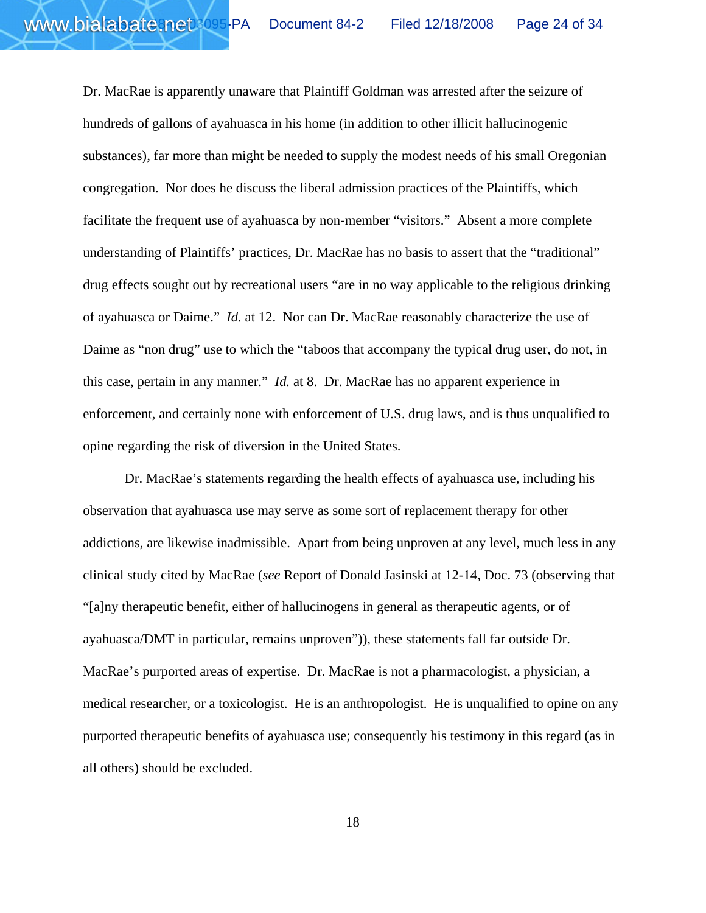Dr. MacRae is apparently unaware that Plaintiff Goldman was arrested after the seizure of hundreds of gallons of ayahuasca in his home (in addition to other illicit hallucinogenic substances), far more than might be needed to supply the modest needs of his small Oregonian congregation. Nor does he discuss the liberal admission practices of the Plaintiffs, which facilitate the frequent use of ayahuasca by non-member "visitors." Absent a more complete understanding of Plaintiffs' practices, Dr. MacRae has no basis to assert that the "traditional" drug effects sought out by recreational users "are in no way applicable to the religious drinking of ayahuasca or Daime." *Id.* at 12. Nor can Dr. MacRae reasonably characterize the use of Daime as "non drug" use to which the "taboos that accompany the typical drug user, do not, in this case, pertain in any manner." *Id.* at 8. Dr. MacRae has no apparent experience in enforcement, and certainly none with enforcement of U.S. drug laws, and is thus unqualified to opine regarding the risk of diversion in the United States.

www.bial abate.net

Dr. MacRae's statements regarding the health effects of ayahuasca use, including his observation that ayahuasca use may serve as some sort of replacement therapy for other addictions, are likewise inadmissible. Apart from being unproven at any level, much less in any clinical study cited by MacRae (*see* Report of Donald Jasinski at 12-14, Doc. 73 (observing that "[a]ny therapeutic benefit, either of hallucinogens in general as therapeutic agents, or of ayahuasca/DMT in particular, remains unproven")), these statements fall far outside Dr. MacRae's purported areas of expertise. Dr. MacRae is not a pharmacologist, a physician, a medical researcher, or a toxicologist. He is an anthropologist. He is unqualified to opine on any purported therapeutic benefits of ayahuasca use; consequently his testimony in this regard (as in all others) should be excluded.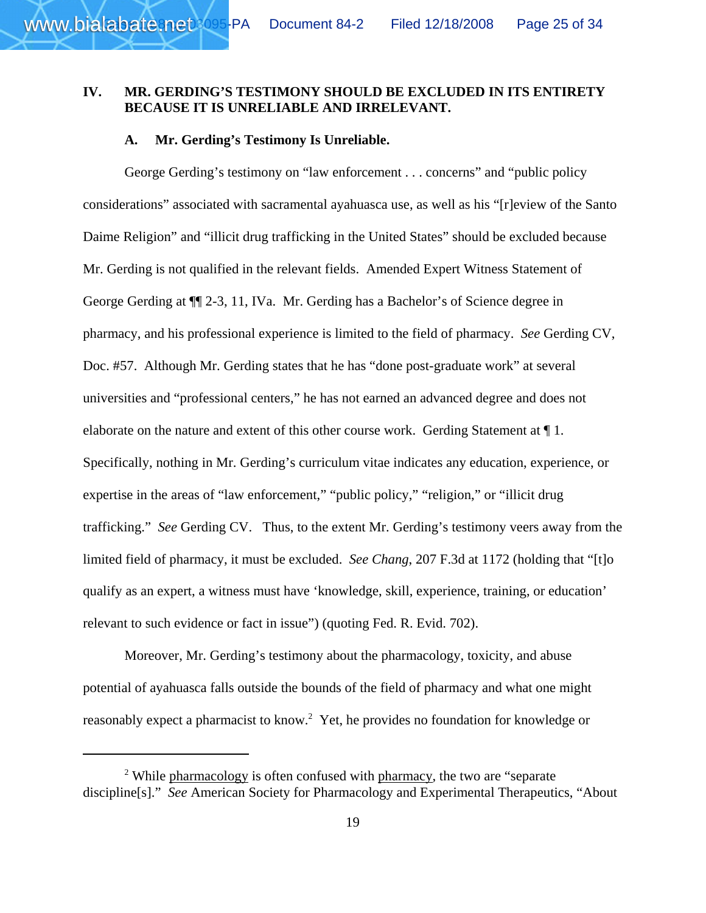### **IV. MR. GERDING'S TESTIMONY SHOULD BE EXCLUDED IN ITS ENTIRETY BECAUSE IT IS UNRELIABLE AND IRRELEVANT.**

### **A. Mr. Gerding's Testimony Is Unreliable.**

George Gerding's testimony on "law enforcement . . . concerns" and "public policy considerations" associated with sacramental ayahuasca use, as well as his "[r]eview of the Santo Daime Religion" and "illicit drug trafficking in the United States" should be excluded because Mr. Gerding is not qualified in the relevant fields. Amended Expert Witness Statement of George Gerding at ¶¶ 2-3, 11, IVa. Mr. Gerding has a Bachelor's of Science degree in pharmacy, and his professional experience is limited to the field of pharmacy. *See* Gerding CV, Doc. #57. Although Mr. Gerding states that he has "done post-graduate work" at several universities and "professional centers," he has not earned an advanced degree and does not elaborate on the nature and extent of this other course work. Gerding Statement at ¶ 1. Specifically, nothing in Mr. Gerding's curriculum vitae indicates any education, experience, or expertise in the areas of "law enforcement," "public policy," "religion," or "illicit drug trafficking." *See* Gerding CV. Thus, to the extent Mr. Gerding's testimony veers away from the limited field of pharmacy, it must be excluded. *See Chang*, 207 F.3d at 1172 (holding that "[t]o qualify as an expert, a witness must have 'knowledge, skill, experience, training, or education' relevant to such evidence or fact in issue") (quoting Fed. R. Evid. 702).

Moreover, Mr. Gerding's testimony about the pharmacology, toxicity, and abuse potential of ayahuasca falls outside the bounds of the field of pharmacy and what one might reasonably expect a pharmacist to know.<sup>2</sup> Yet, he provides no foundation for knowledge or

<sup>&</sup>lt;sup>2</sup> While pharmacology is often confused with pharmacy, the two are "separate" discipline[s]." *See* American Society for Pharmacology and Experimental Therapeutics, "About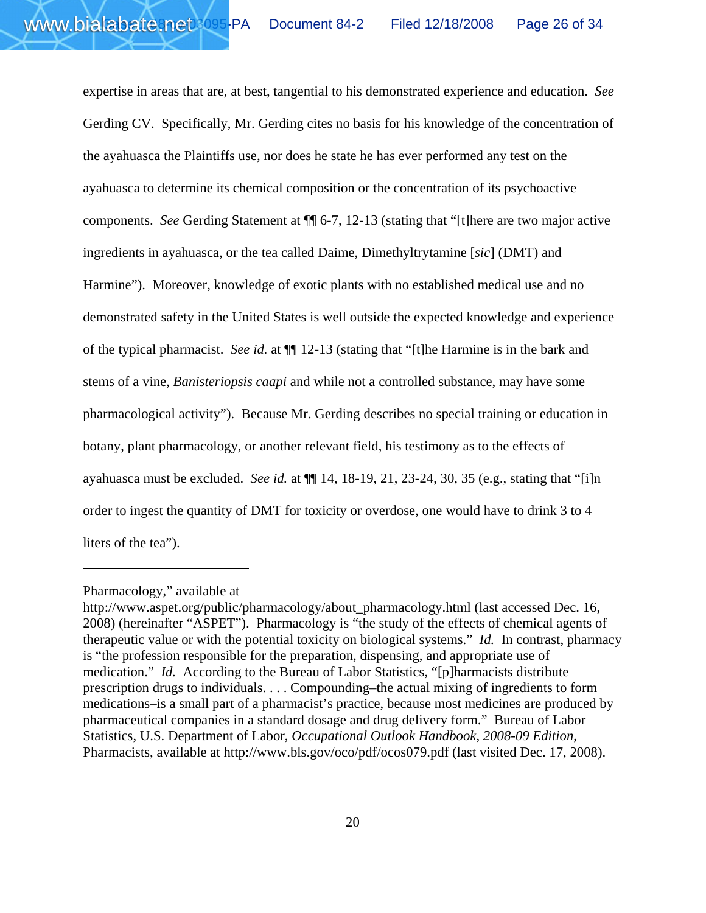expertise in areas that are, at best, tangential to his demonstrated experience and education. *See* Gerding CV. Specifically, Mr. Gerding cites no basis for his knowledge of the concentration of the ayahuasca the Plaintiffs use, nor does he state he has ever performed any test on the ayahuasca to determine its chemical composition or the concentration of its psychoactive components. *See* Gerding Statement at ¶¶ 6-7, 12-13 (stating that "[t]here are two major active ingredients in ayahuasca, or the tea called Daime, Dimethyltrytamine [*sic*] (DMT) and Harmine"). Moreover, knowledge of exotic plants with no established medical use and no demonstrated safety in the United States is well outside the expected knowledge and experience of the typical pharmacist. *See id.* at ¶¶ 12-13 (stating that "[t]he Harmine is in the bark and stems of a vine, *Banisteriopsis caapi* and while not a controlled substance, may have some pharmacological activity"). Because Mr. Gerding describes no special training or education in botany, plant pharmacology, or another relevant field, his testimony as to the effects of ayahuasca must be excluded. *See id.* at ¶¶ 14, 18-19, 21, 23-24, 30, 35 (e.g., stating that "[i]n order to ingest the quantity of DMT for toxicity or overdose, one would have to drink 3 to 4 liters of the tea").

www.bial abate.net

Pharmacology," available at

http://www.aspet.org/public/pharmacology/about\_pharmacology.html (last accessed Dec. 16, 2008) (hereinafter "ASPET"). Pharmacology is "the study of the effects of chemical agents of therapeutic value or with the potential toxicity on biological systems." *Id.* In contrast, pharmacy is "the profession responsible for the preparation, dispensing, and appropriate use of medication." *Id.* According to the Bureau of Labor Statistics, "[p]harmacists distribute prescription drugs to individuals. . . . Compounding–the actual mixing of ingredients to form medications–is a small part of a pharmacist's practice, because most medicines are produced by pharmaceutical companies in a standard dosage and drug delivery form." Bureau of Labor Statistics, U.S. Department of Labor, *Occupational Outlook Handbook, 2008-09 Edition*, Pharmacists, available at http://www.bls.gov/oco/pdf/ocos079.pdf (last visited Dec. 17, 2008).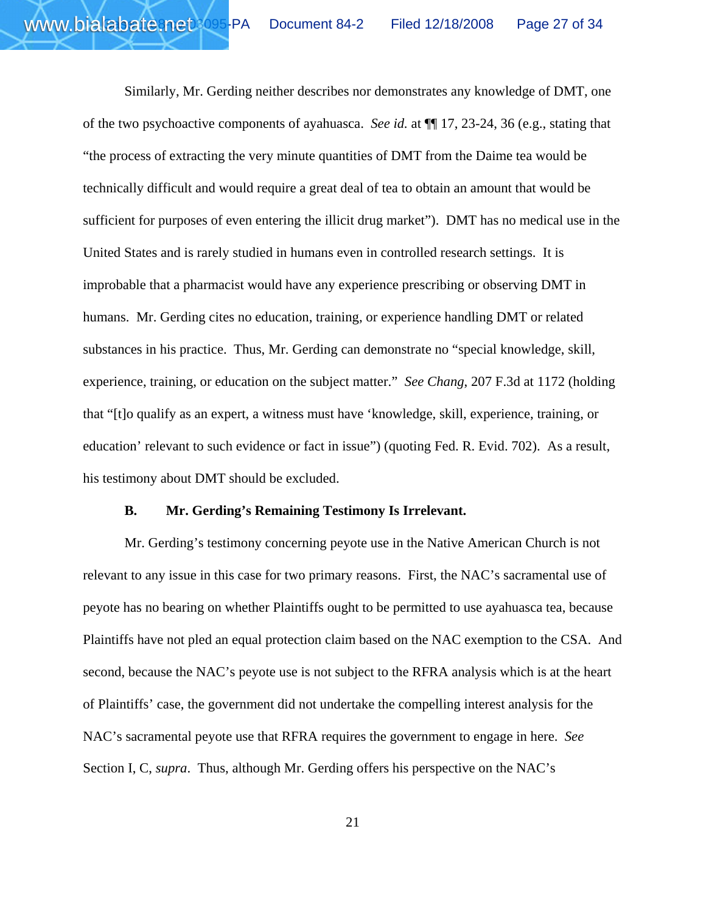Similarly, Mr. Gerding neither describes nor demonstrates any knowledge of DMT, one of the two psychoactive components of ayahuasca. *See id.* at ¶¶ 17, 23-24, 36 (e.g., stating that "the process of extracting the very minute quantities of DMT from the Daime tea would be technically difficult and would require a great deal of tea to obtain an amount that would be sufficient for purposes of even entering the illicit drug market"). DMT has no medical use in the United States and is rarely studied in humans even in controlled research settings. It is improbable that a pharmacist would have any experience prescribing or observing DMT in humans. Mr. Gerding cites no education, training, or experience handling DMT or related substances in his practice. Thus, Mr. Gerding can demonstrate no "special knowledge, skill, experience, training, or education on the subject matter." *See Chang*, 207 F.3d at 1172 (holding that "[t]o qualify as an expert, a witness must have 'knowledge, skill, experience, training, or education' relevant to such evidence or fact in issue") (quoting Fed. R. Evid. 702). As a result, his testimony about DMT should be excluded.

#### **B. Mr. Gerding's Remaining Testimony Is Irrelevant.**

www.bial abate.net

Mr. Gerding's testimony concerning peyote use in the Native American Church is not relevant to any issue in this case for two primary reasons. First, the NAC's sacramental use of peyote has no bearing on whether Plaintiffs ought to be permitted to use ayahuasca tea, because Plaintiffs have not pled an equal protection claim based on the NAC exemption to the CSA. And second, because the NAC's peyote use is not subject to the RFRA analysis which is at the heart of Plaintiffs' case, the government did not undertake the compelling interest analysis for the NAC's sacramental peyote use that RFRA requires the government to engage in here. *See* Section I, C, *supra*. Thus, although Mr. Gerding offers his perspective on the NAC's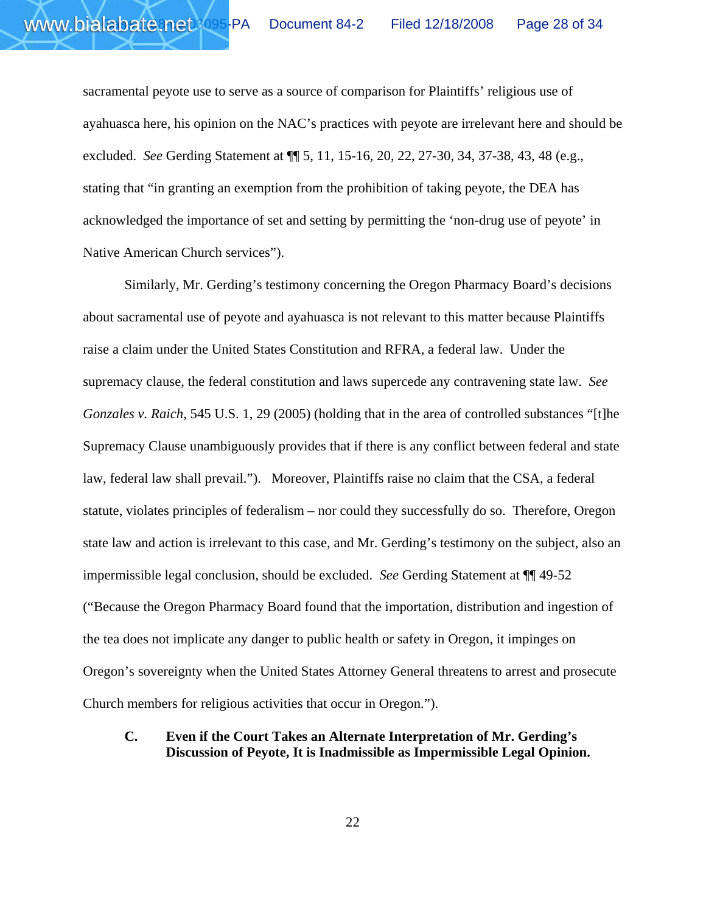sacramental peyote use to serve as a source of comparison for Plaintiffs' religious use of ayahuasca here, his opinion on the NAC's practices with peyote are irrelevant here and should be excluded. *See* Gerding Statement at ¶¶ 5, 11, 15-16, 20, 22, 27-30, 34, 37-38, 43, 48 (e.g., stating that "in granting an exemption from the prohibition of taking peyote, the DEA has acknowledged the importance of set and setting by permitting the 'non-drug use of peyote' in Native American Church services").

Similarly, Mr. Gerding's testimony concerning the Oregon Pharmacy Board's decisions about sacramental use of peyote and ayahuasca is not relevant to this matter because Plaintiffs raise a claim under the United States Constitution and RFRA, a federal law. Under the supremacy clause, the federal constitution and laws supercede any contravening state law. *See Gonzales v. Raich*, 545 U.S. 1, 29 (2005) (holding that in the area of controlled substances "[t]he Supremacy Clause unambiguously provides that if there is any conflict between federal and state law, federal law shall prevail."). Moreover, Plaintiffs raise no claim that the CSA, a federal statute, violates principles of federalism – nor could they successfully do so. Therefore, Oregon state law and action is irrelevant to this case, and Mr. Gerding's testimony on the subject, also an impermissible legal conclusion, should be excluded. *See* Gerding Statement at ¶¶ 49-52 ("Because the Oregon Pharmacy Board found that the importation, distribution and ingestion of the tea does not implicate any danger to public health or safety in Oregon, it impinges on Oregon's sovereignty when the United States Attorney General threatens to arrest and prosecute Church members for religious activities that occur in Oregon.").

### **C. Even if the Court Takes an Alternate Interpretation of Mr. Gerding's Discussion of Peyote, It is Inadmissible as Impermissible Legal Opinion.**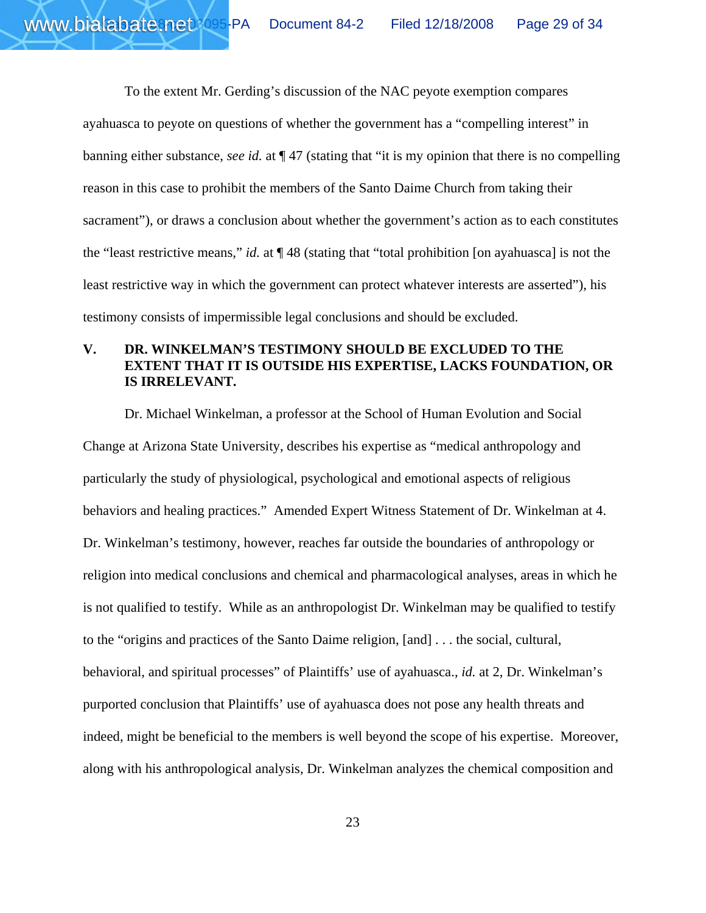To the extent Mr. Gerding's discussion of the NAC peyote exemption compares ayahuasca to peyote on questions of whether the government has a "compelling interest" in banning either substance, *see id.* at ¶ 47 (stating that "it is my opinion that there is no compelling reason in this case to prohibit the members of the Santo Daime Church from taking their sacrament"), or draws a conclusion about whether the government's action as to each constitutes the "least restrictive means," *id.* at ¶ 48 (stating that "total prohibition [on ayahuasca] is not the least restrictive way in which the government can protect whatever interests are asserted"), his testimony consists of impermissible legal conclusions and should be excluded.

www.bial abate.net

### **V. DR. WINKELMAN'S TESTIMONY SHOULD BE EXCLUDED TO THE EXTENT THAT IT IS OUTSIDE HIS EXPERTISE, LACKS FOUNDATION, OR IS IRRELEVANT.**

Dr. Michael Winkelman, a professor at the School of Human Evolution and Social Change at Arizona State University, describes his expertise as "medical anthropology and particularly the study of physiological, psychological and emotional aspects of religious behaviors and healing practices." Amended Expert Witness Statement of Dr. Winkelman at 4. Dr. Winkelman's testimony, however, reaches far outside the boundaries of anthropology or religion into medical conclusions and chemical and pharmacological analyses, areas in which he is not qualified to testify. While as an anthropologist Dr. Winkelman may be qualified to testify to the "origins and practices of the Santo Daime religion, [and] . . . the social, cultural, behavioral, and spiritual processes" of Plaintiffs' use of ayahuasca., *id.* at 2, Dr. Winkelman's purported conclusion that Plaintiffs' use of ayahuasca does not pose any health threats and indeed, might be beneficial to the members is well beyond the scope of his expertise. Moreover, along with his anthropological analysis, Dr. Winkelman analyzes the chemical composition and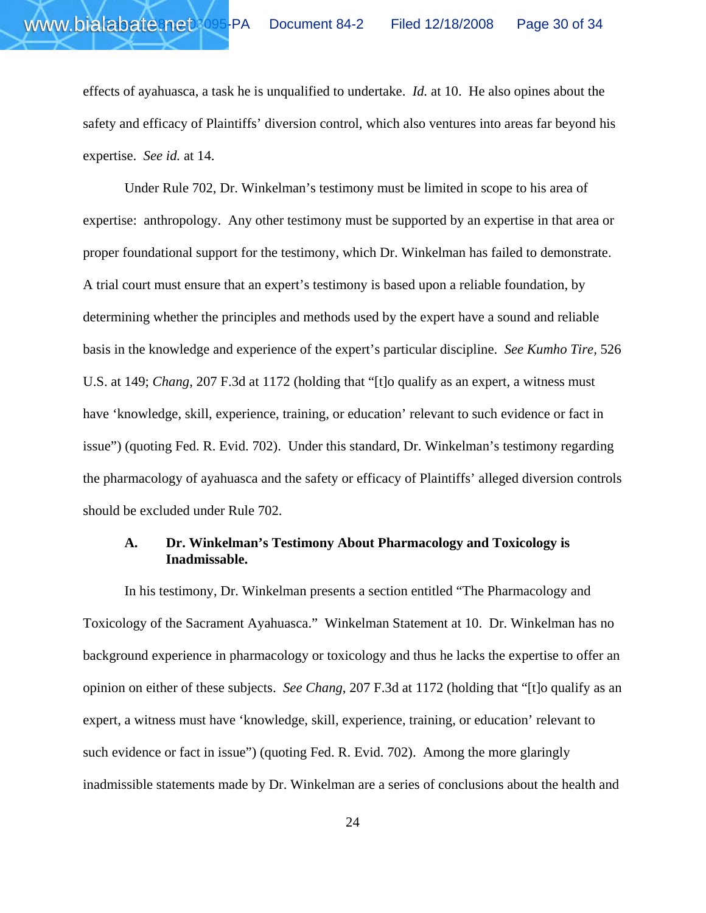effects of ayahuasca, a task he is unqualified to undertake. *Id.* at 10. He also opines about the safety and efficacy of Plaintiffs' diversion control, which also ventures into areas far beyond his expertise. *See id.* at 14.

Under Rule 702, Dr. Winkelman's testimony must be limited in scope to his area of expertise: anthropology. Any other testimony must be supported by an expertise in that area or proper foundational support for the testimony, which Dr. Winkelman has failed to demonstrate. A trial court must ensure that an expert's testimony is based upon a reliable foundation, by determining whether the principles and methods used by the expert have a sound and reliable basis in the knowledge and experience of the expert's particular discipline. *See Kumho Tire,* 526 U.S. at 149; *Chang*, 207 F.3d at 1172 (holding that "[t]o qualify as an expert, a witness must have 'knowledge, skill, experience, training, or education' relevant to such evidence or fact in issue") (quoting Fed. R. Evid. 702). Under this standard, Dr. Winkelman's testimony regarding the pharmacology of ayahuasca and the safety or efficacy of Plaintiffs' alleged diversion controls should be excluded under Rule 702.

### **A. Dr. Winkelman's Testimony About Pharmacology and Toxicology is Inadmissable.**

In his testimony, Dr. Winkelman presents a section entitled "The Pharmacology and Toxicology of the Sacrament Ayahuasca." Winkelman Statement at 10. Dr. Winkelman has no background experience in pharmacology or toxicology and thus he lacks the expertise to offer an opinion on either of these subjects. *See Chang*, 207 F.3d at 1172 (holding that "[t]o qualify as an expert, a witness must have 'knowledge, skill, experience, training, or education' relevant to such evidence or fact in issue") (quoting Fed. R. Evid. 702). Among the more glaringly inadmissible statements made by Dr. Winkelman are a series of conclusions about the health and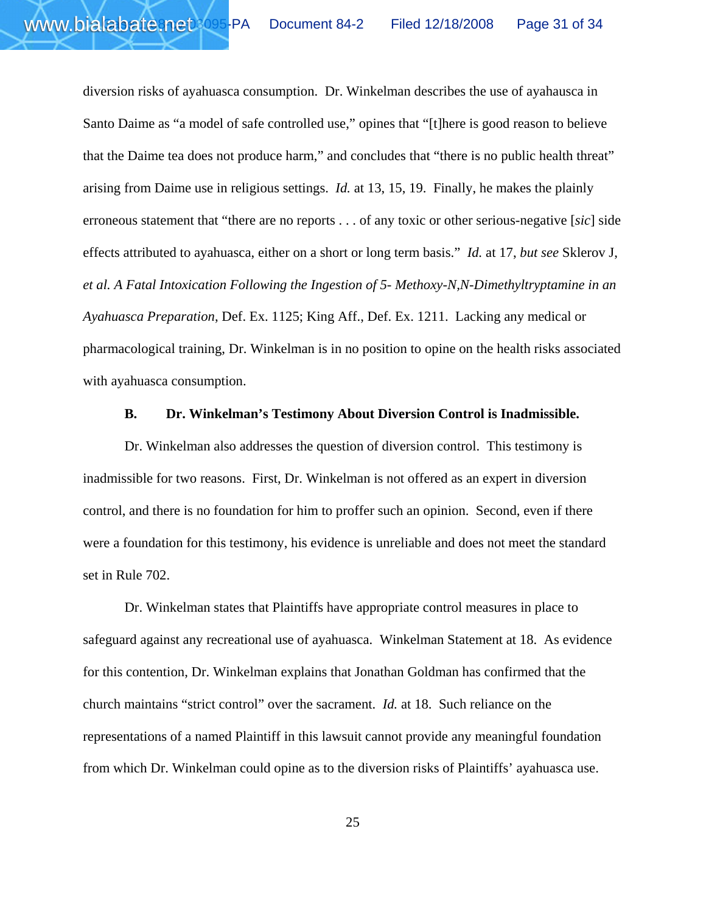diversion risks of ayahuasca consumption. Dr. Winkelman describes the use of ayahausca in Santo Daime as "a model of safe controlled use," opines that "[t]here is good reason to believe that the Daime tea does not produce harm," and concludes that "there is no public health threat" arising from Daime use in religious settings. *Id.* at 13, 15, 19. Finally, he makes the plainly erroneous statement that "there are no reports . . . of any toxic or other serious-negative [*sic*] side effects attributed to ayahuasca, either on a short or long term basis." *Id.* at 17, *but see* Sklerov J, *et al. A Fatal Intoxication Following the Ingestion of 5- Methoxy-N,N-Dimethyltryptamine in an Ayahuasca Preparation*, Def. Ex. 1125; King Aff., Def. Ex. 1211. Lacking any medical or pharmacological training, Dr. Winkelman is in no position to opine on the health risks associated with ayahuasca consumption.

www.bial abate.net

#### **B. Dr. Winkelman's Testimony About Diversion Control is Inadmissible.**

Dr. Winkelman also addresses the question of diversion control. This testimony is inadmissible for two reasons. First, Dr. Winkelman is not offered as an expert in diversion control, and there is no foundation for him to proffer such an opinion. Second, even if there were a foundation for this testimony, his evidence is unreliable and does not meet the standard set in Rule 702.

Dr. Winkelman states that Plaintiffs have appropriate control measures in place to safeguard against any recreational use of ayahuasca. Winkelman Statement at 18. As evidence for this contention, Dr. Winkelman explains that Jonathan Goldman has confirmed that the church maintains "strict control" over the sacrament. *Id.* at 18. Such reliance on the representations of a named Plaintiff in this lawsuit cannot provide any meaningful foundation from which Dr. Winkelman could opine as to the diversion risks of Plaintiffs' ayahuasca use.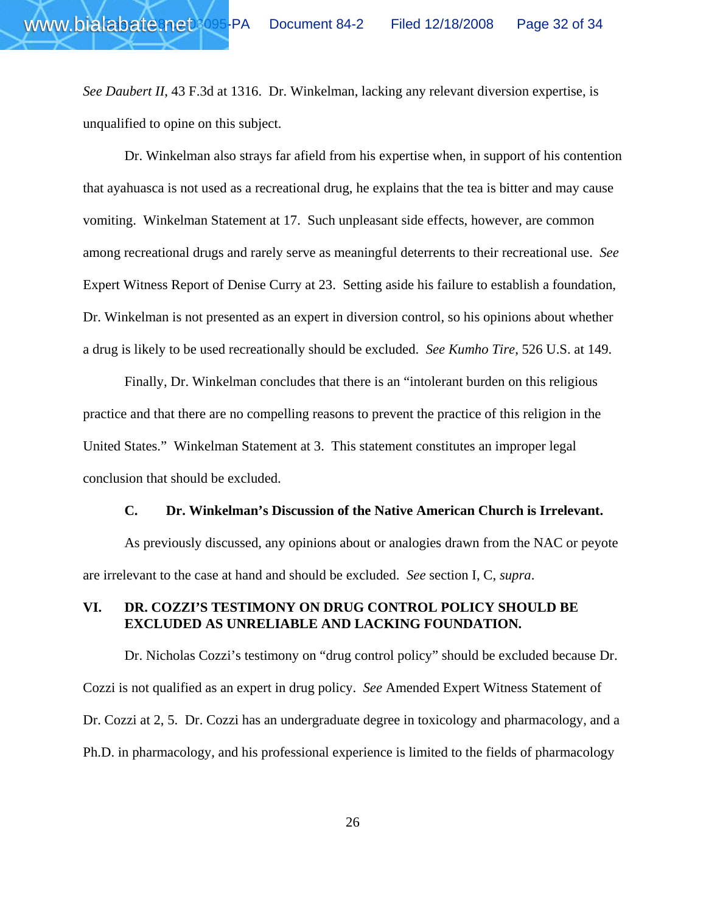*See Daubert II*, 43 F.3d at 1316. Dr. Winkelman, lacking any relevant diversion expertise, is unqualified to opine on this subject.

www.bial abate.net

Dr. Winkelman also strays far afield from his expertise when, in support of his contention that ayahuasca is not used as a recreational drug, he explains that the tea is bitter and may cause vomiting. Winkelman Statement at 17. Such unpleasant side effects, however, are common among recreational drugs and rarely serve as meaningful deterrents to their recreational use. *See* Expert Witness Report of Denise Curry at 23. Setting aside his failure to establish a foundation, Dr. Winkelman is not presented as an expert in diversion control, so his opinions about whether a drug is likely to be used recreationally should be excluded. *See Kumho Tire*, 526 U.S. at 149.

Finally, Dr. Winkelman concludes that there is an "intolerant burden on this religious practice and that there are no compelling reasons to prevent the practice of this religion in the United States." Winkelman Statement at 3. This statement constitutes an improper legal conclusion that should be excluded.

#### **C. Dr. Winkelman's Discussion of the Native American Church is Irrelevant.**

As previously discussed, any opinions about or analogies drawn from the NAC or peyote are irrelevant to the case at hand and should be excluded. *See* section I, C, *supra*.

### **VI. DR. COZZI'S TESTIMONY ON DRUG CONTROL POLICY SHOULD BE EXCLUDED AS UNRELIABLE AND LACKING FOUNDATION.**

Dr. Nicholas Cozzi's testimony on "drug control policy" should be excluded because Dr. Cozzi is not qualified as an expert in drug policy. *See* Amended Expert Witness Statement of Dr. Cozzi at 2, 5. Dr. Cozzi has an undergraduate degree in toxicology and pharmacology, and a Ph.D. in pharmacology, and his professional experience is limited to the fields of pharmacology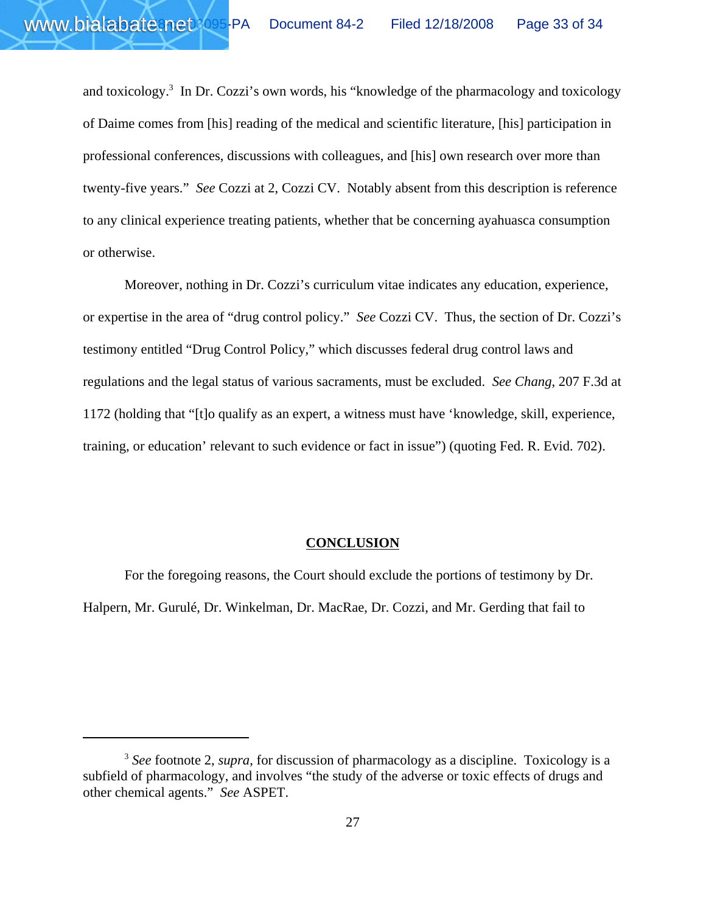and toxicology.<sup>3</sup> In Dr. Cozzi's own words, his "knowledge of the pharmacology and toxicology of Daime comes from [his] reading of the medical and scientific literature, [his] participation in professional conferences, discussions with colleagues, and [his] own research over more than twenty-five years." *See* Cozzi at 2, Cozzi CV. Notably absent from this description is reference to any clinical experience treating patients, whether that be concerning ayahuasca consumption or otherwise.

www.bial abate.net

Moreover, nothing in Dr. Cozzi's curriculum vitae indicates any education, experience, or expertise in the area of "drug control policy." *See* Cozzi CV. Thus, the section of Dr. Cozzi's testimony entitled "Drug Control Policy," which discusses federal drug control laws and regulations and the legal status of various sacraments, must be excluded. *See Chang*, 207 F.3d at 1172 (holding that "[t]o qualify as an expert, a witness must have 'knowledge, skill, experience, training, or education' relevant to such evidence or fact in issue") (quoting Fed. R. Evid. 702).

#### **CONCLUSION**

For the foregoing reasons, the Court should exclude the portions of testimony by Dr. Halpern, Mr. Gurulé, Dr. Winkelman, Dr. MacRae, Dr. Cozzi, and Mr. Gerding that fail to

<sup>3</sup> *See* footnote 2, *supra*, for discussion of pharmacology as a discipline. Toxicology is a subfield of pharmacology, and involves "the study of the adverse or toxic effects of drugs and other chemical agents." *See* ASPET.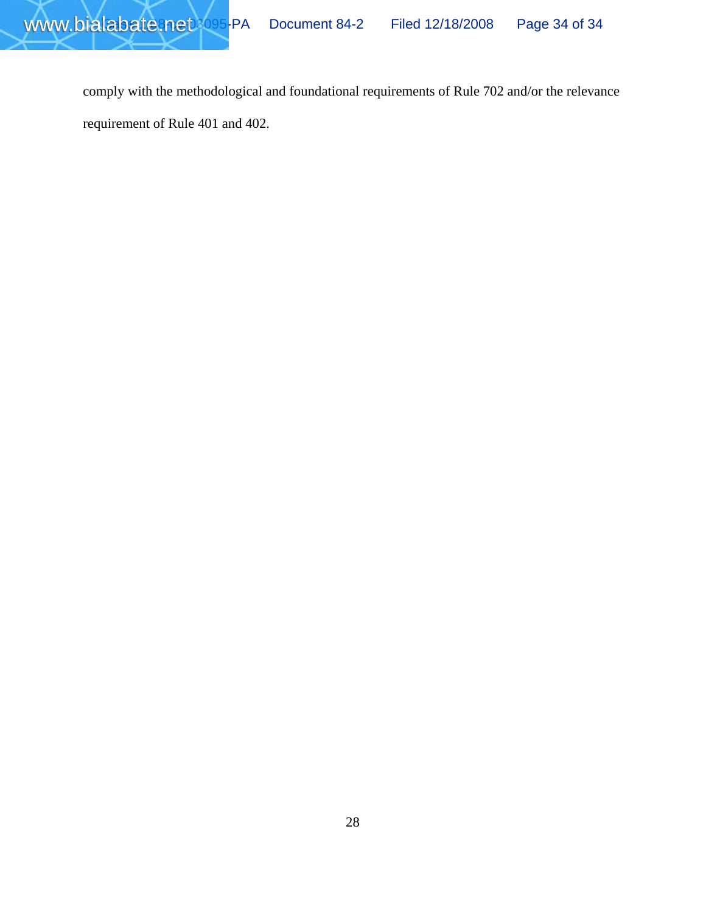comply with the methodological and foundational requirements of Rule 702 and/or the relevance requirement of Rule 401 and 402.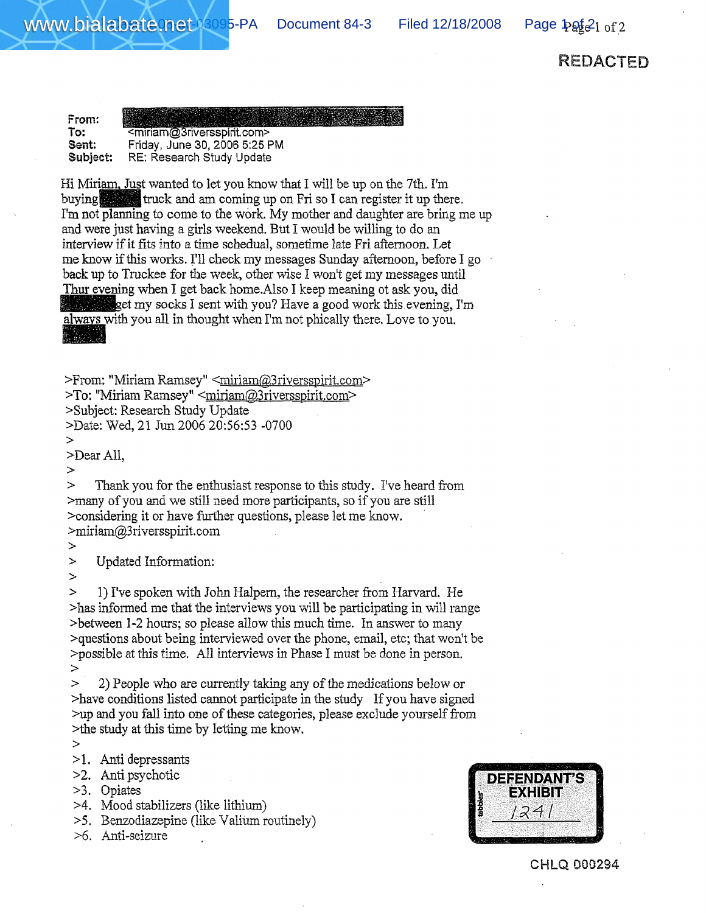Page  $\frac{1}{2}$  of 2

**REDACTED**

**From:** To: <miriam@3riversspirit.com> **Sent:** .Friday, June 30, 2008 5:25 PM **Subject: RE:** Research Study Update

Hi Miriam, Just wanted to let you know that I will be up on the 7th. I'm buying truck and am coming up on Fri so I can register it up there. I'm not planning to come to the work. My mother and daughter are bring me up and were just having a girls weekend. But I would be willing to do an interview if it fits into a time schedual, sometime late Fri afternoon. Let me know if this works. I'll check my messages Sunday afternoon, before I go back up to Truckee for the week, other wise I won't get my messages until Thur evening when I get back home.Also I keep meaning ot ask you, did get my socks I sent with you? Have a good work this evening, I'm always with you all in thought when I'm not phically there. Love to you.

>From: "Miriam Ramsey" <miriam@3riversspirit.com> >To: "Miriam Ramsey" <miriam@3riversspirit.com> >Subject: Research Study Update

>Date: Wed, 21 Jun 2005 20:56:53 -0700

>

>Dear All,  $\geq$ 

> Thank you for the enthusiast response to this study. I've heard from >many of you and we still need more participants, so if you are still >considering it or have further questions, please let me know. >miriam@3riversspirit.com

>

> Updated Information:

>

> 1) I've spoken with John Halpem, the researcher from Harvard. He >has informed me that the interviews you will be participating in will range >between 1-2 hours; so please allow this much time. In answer to many >questions about being interviewed over the phone, email, etc; that won't be >possible at this time. AI! interviews in Phase I must be done in person. >

> 2) People who are currently taking any of the medications below or >have conditions listed cannot participate in the study If you have signed >up and you fall into one of these categories, please exclude yourself from >the study at this time by letting me know.

>

>!. Anti depressants

>2. Anti psychotic

>3. Opiates

>4. Mood stabilizers (like lithium)

>5. Benzodiazepine (like Valium routinely)

>6. Anti-seizure



**CHLQ 000294**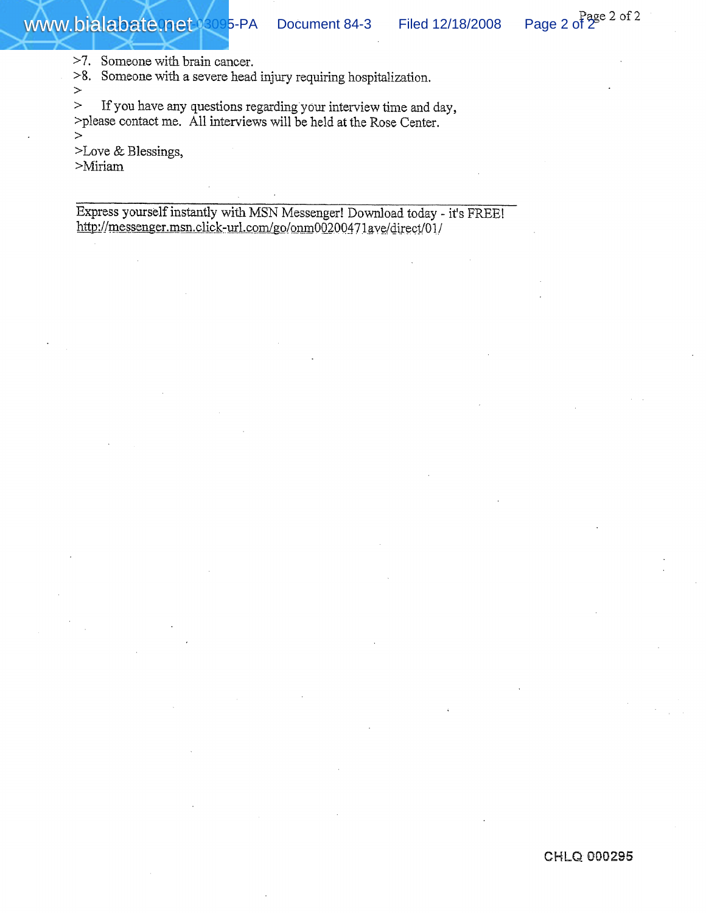>7. Someone with brain cancer.

>8. Someone with a severe head injury requiring hospitalization.

 $\ge$ If you have any questions regarding your interview time and day, >please contact me. All interviews will be held at the Rose Center.  $\geq$ 

>Love & Blessings, >Miriam

Express yourself instantly with MSN Messenger! Download today - it's FREE! http://messenger.msn.click-url.com/go/onm00200471ave/direct/01/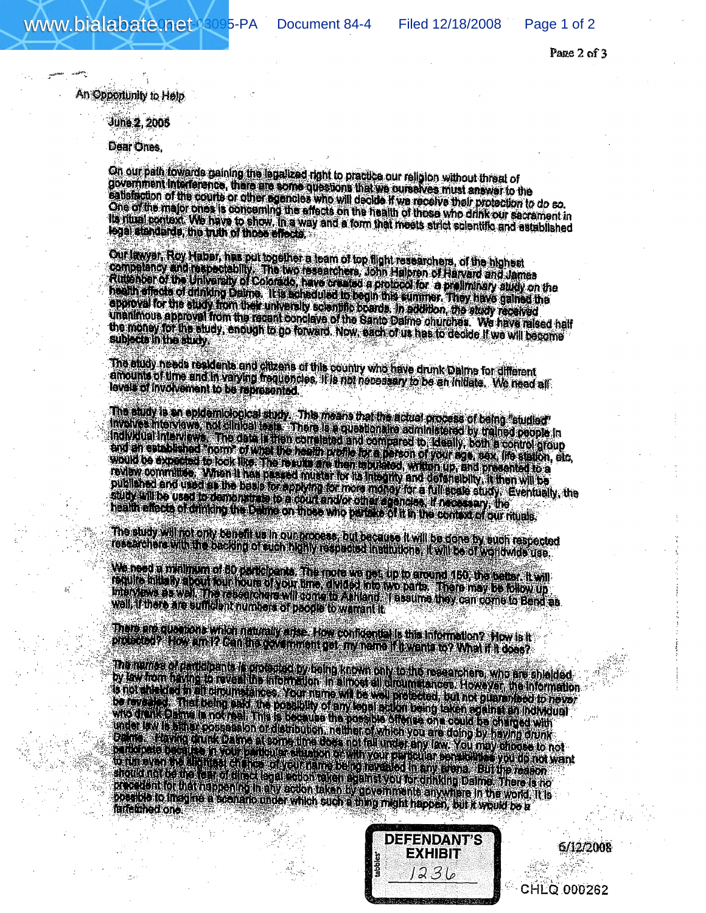Page 2 of 3

An Opportunity to Help

June 2, 2005

Dear Ones.

On our path fowards gaining the legalized right to practice our religion without threat of government interference, there are some questions that we ourselves must answer to the satisfaction of the courts or other agencies who will decide if we receive their protection to do so.<br>One of the major ches is conversible the attack as all decide if we receive their protection to do so. One of the major cries is concerning the effects on the health of these who drink our sacrament in<br>The ritual context. We have to show, in a way and a form that meets strict scientific and established legal standards, the truth of those energy.

Our lawyer, Roy Haber, has put together a team of top flight researchers, of the highest<br>competency and maped ability. The two researchers, John Halpren of Ranvard and James<br>Rubshoar of the University of Colorado, have cre aboroval for the allegy from their university scientific boards. In addition, they have gained to Unanimous approval from the recent conclave of the Santo Dalme churches. We have released half the money for the study, enough to go forward. Now, each of us hee to decide if we will become<br>subjects in the study.

The study needs realdents and allterna of this country who have drunk Dalms for different ally suby heads response and citizens of this country who have drunk Daims for different<br>almounts of time and in varying mequencies, it is not necessary to be an initiate. We need sit levels of involvement to be represented.

The study is an epidemicical study. This means that the actual process of being "studied"<br>investors interviews, red all health is the correlated and compared by trained poople in<br>final the views in diabilities is a questi

The study will not only benefit us in our propess, but because it will be done by such respected<br>researchers with the becking of such highly respected institutions. It will be of worldwide use.

We hadd a minimum of 80 participants. The note we use up to around 180 the lietter, it will<br>require milety about curricula of your time, divided his two parts. There may be follow up.<br>Imaging as well, the researchered it p

There are quadrants which memorally areas, How confidential is this information? How is it<br>photoshol? How am 12 Can the you in memoral part my name if it wants to? What if It does?

The number of cardspand it considers by training in the straining presentation in the set of wants of the straining in the straining in the straining in the straining of the straining of the straining of the straining of t



6/12/2008

**CHLQ 000262**